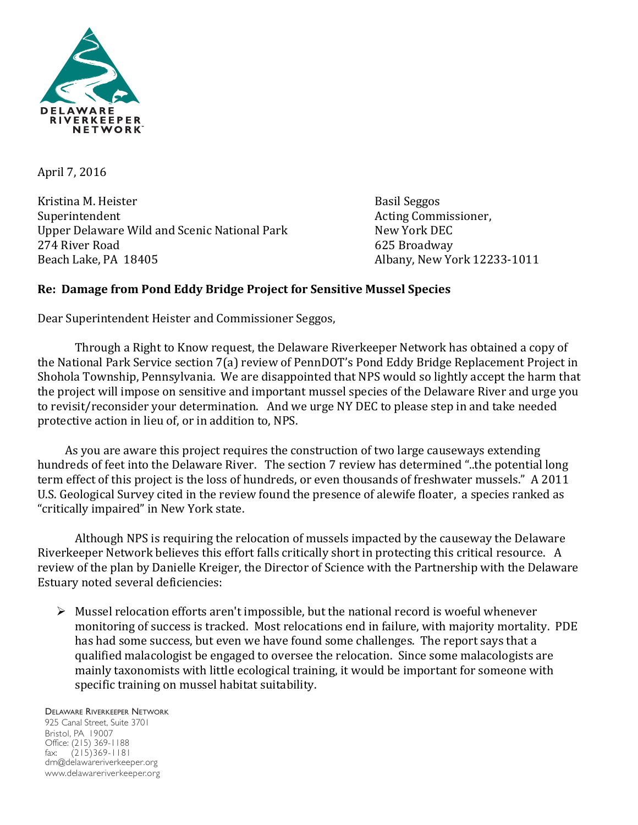

April 7, 2016

Kristina M. Heister Basil Seggos Basil Seggos Superintendent Acting Commissioner, Upper Delaware Wild and Scenic National Park **South Communist Communist Communist** New York DEC 274 River Road 625 Broadway Beach Lake, PA 18405 Albany, New York 12233-1011

## **Re: Damage from Pond Eddy Bridge Project for Sensitive Mussel Species**

Dear Superintendent Heister and Commissioner Seggos,

Through a Right to Know request, the Delaware Riverkeeper Network has obtained a copy of the National Park Service section 7(a) review of PennDOT's Pond Eddy Bridge Replacement Project in Shohola Township, Pennsylvania. We are disappointed that NPS would so lightly accept the harm that the project will impose on sensitive and important mussel species of the Delaware River and urge you to revisit/reconsider your determination. And we urge NY DEC to please step in and take needed protective action in lieu of, or in addition to, NPS.

As you are aware this project requires the construction of two large causeways extending hundreds of feet into the Delaware River. The section 7 review has determined "..the potential long term effect of this project is the loss of hundreds, or even thousands of freshwater mussels." A 2011 U.S. Geological Survey cited in the review found the presence of alewife floater, a species ranked as "critically impaired" in New York state.

Although NPS is requiring the relocation of mussels impacted by the causeway the Delaware Riverkeeper Network believes this effort falls critically short in protecting this critical resource. A review of the plan by Danielle Kreiger, the Director of Science with the Partnership with the Delaware Estuary noted several deficiencies:

 $\triangleright$  Mussel relocation efforts aren't impossible, but the national record is woeful whenever monitoring of success is tracked. Most relocations end in failure, with majority mortality. PDE has had some success, but even we have found some challenges. The report says that a qualified malacologist be engaged to oversee the relocation. Since some malacologists are mainly taxonomists with little ecological training, it would be important for someone with specific training on mussel habitat suitability.

DELAWARE RIVERKEEPER NETWORK 925 Canal Street, Suite 3701 Bristol, PA 19007 Office: (215) 369-1188 fax: (215)369-1181 drn@delawareriverkeeper.org www.delawareriverkeeper.org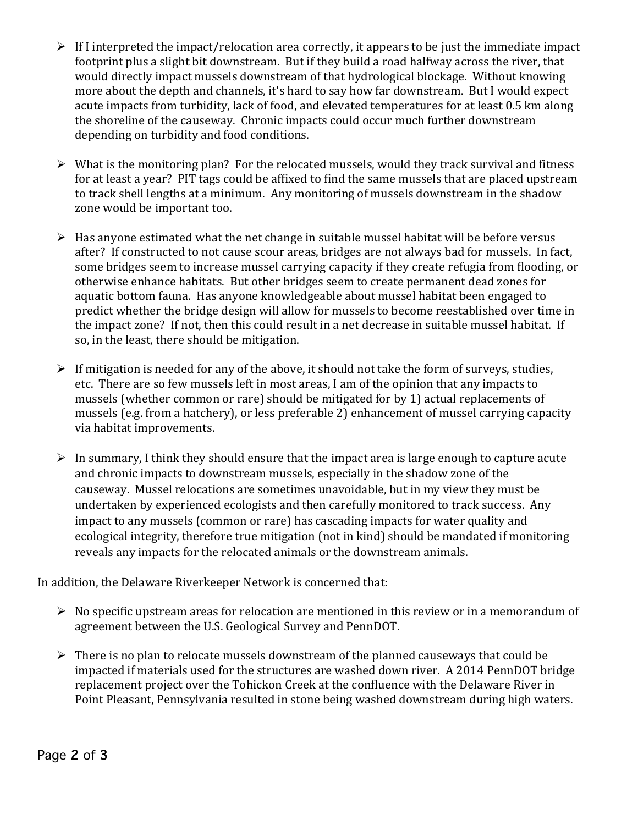- $\triangleright$  If I interpreted the impact/relocation area correctly, it appears to be just the immediate impact footprint plus a slight bit downstream. But if they build a road halfway across the river, that would directly impact mussels downstream of that hydrological blockage. Without knowing more about the depth and channels, it's hard to say how far downstream. But I would expect acute impacts from turbidity, lack of food, and elevated temperatures for at least 0.5 km along the shoreline of the causeway. Chronic impacts could occur much further downstream depending on turbidity and food conditions.
- $\triangleright$  What is the monitoring plan? For the relocated mussels, would they track survival and fitness for at least a vear? PIT tags could be affixed to find the same mussels that are placed upstream to track shell lengths at a minimum. Any monitoring of mussels downstream in the shadow zone would be important too.
- $\triangleright$  Has anyone estimated what the net change in suitable mussel habitat will be before versus after? If constructed to not cause scour areas, bridges are not always bad for mussels. In fact, some bridges seem to increase mussel carrying capacity if they create refugia from flooding, or otherwise enhance habitats. But other bridges seem to create permanent dead zones for aquatic bottom fauna. Has anyone knowledgeable about mussel habitat been engaged to predict whether the bridge design will allow for mussels to become reestablished over time in the impact zone? If not, then this could result in a net decrease in suitable mussel habitat. If so, in the least, there should be mitigation.
- $\triangleright$  If mitigation is needed for any of the above, it should not take the form of surveys, studies, etc. There are so few mussels left in most areas, I am of the opinion that any impacts to mussels (whether common or rare) should be mitigated for by 1) actual replacements of mussels (e.g. from a hatchery), or less preferable 2) enhancement of mussel carrying capacity via habitat improvements.
- $\triangleright$  In summary, I think they should ensure that the impact area is large enough to capture acute and chronic impacts to downstream mussels, especially in the shadow zone of the causeway. Mussel relocations are sometimes unavoidable, but in my view they must be undertaken by experienced ecologists and then carefully monitored to track success. Any impact to any mussels (common or rare) has cascading impacts for water quality and ecological integrity, therefore true mitigation (not in kind) should be mandated if monitoring reveals any impacts for the relocated animals or the downstream animals.

In addition, the Delaware Riverkeeper Network is concerned that:

- $\triangleright$  No specific upstream areas for relocation are mentioned in this review or in a memorandum of agreement between the U.S. Geological Survey and PennDOT.
- $\triangleright$  There is no plan to relocate mussels downstream of the planned causeways that could be impacted if materials used for the structures are washed down river. A 2014 PennDOT bridge replacement project over the Tohickon Creek at the confluence with the Delaware River in Point Pleasant, Pennsylvania resulted in stone being washed downstream during high waters.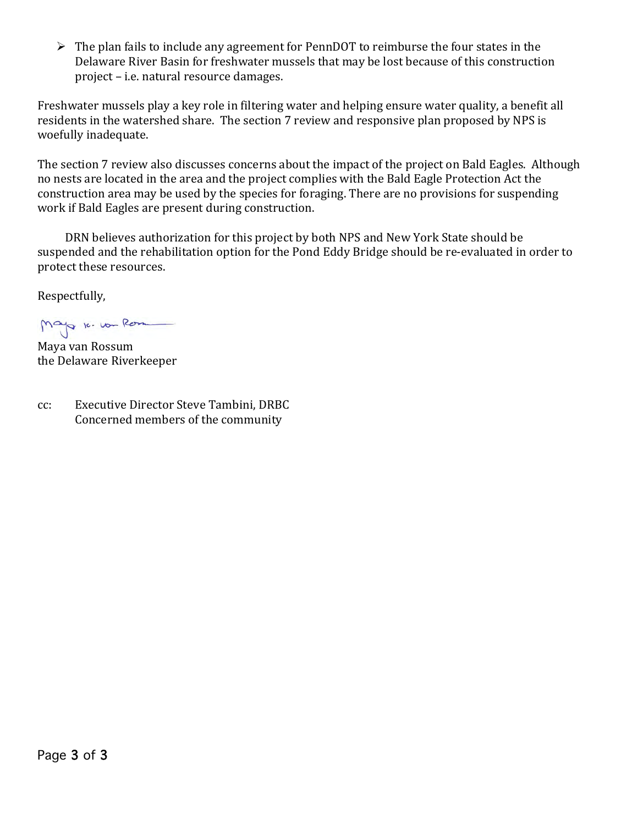$\triangleright$  The plan fails to include any agreement for PennDOT to reimburse the four states in the Delaware River Basin for freshwater mussels that may be lost because of this construction project – i.e. natural resource damages.

Freshwater mussels play a key role in filtering water and helping ensure water quality, a benefit all residents in the watershed share. The section 7 review and responsive plan proposed by NPS is woefully inadequate.

The section 7 review also discusses concerns about the impact of the project on Bald Eagles. Although no nests are located in the area and the project complies with the Bald Eagle Protection Act the construction area may be used by the species for foraging. There are no provisions for suspending work if Bald Eagles are present during construction.

DRN believes authorization for this project by both NPS and New York State should be suspended and the rehabilitation option for the Pond Eddy Bridge should be re-evaluated in order to protect these resources.

Respectfully,

Mayo 10.10m Romment

Maya van Rossum the Delaware Riverkeeper

cc: Executive Director Steve Tambini, DRBC Concerned members of the community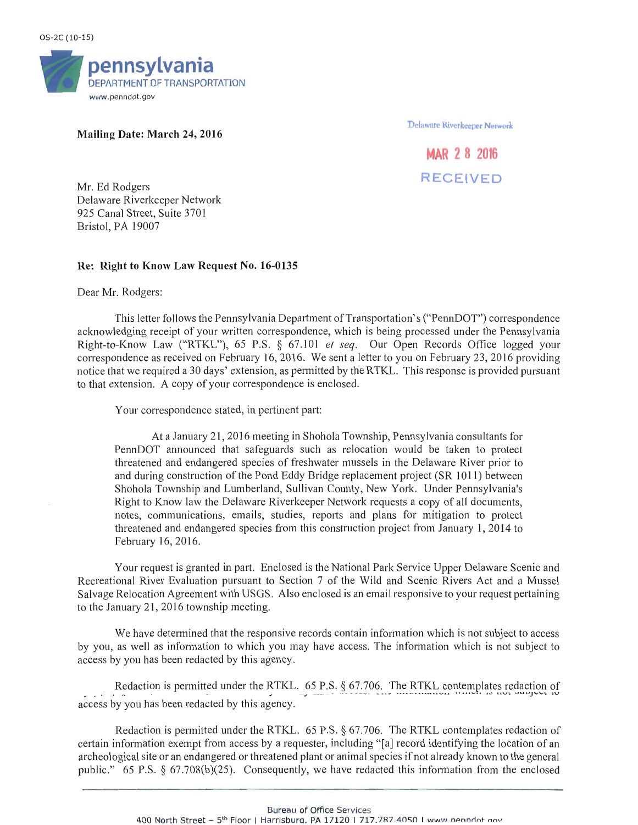

## Mailing Date: March 24, 2016

Delaware Riverkeeper Nerwork

## **MAR 2 8 2016 RECEIVED**

Mr. Ed Rodgers Delaware Riverkeeper Network 925 Canal Street, Suite 3701 Bristol, PA 19007

## Re: Right to Know Law Request No. 16-0135

## Dear Mr. Rodgers:

This letter follows the Pennsylvania Department of Transportation's ("PennDOT") correspondence acknowledging receipt of your written correspondence, which is being processed under the Pennsylvania Right-to-Know Law ("RTKL"), 65 P.S. § 67.101 et seq. Our Open Records Office logged your correspondence as received on February 16, 2016. We sent a letter to you on February 23, 2016 providing notice that we required a 30 days' extension, as permitted by the RTKL. This response is provided pursuant to that extension. A copy of your correspondence is enclosed.

Your correspondence stated, in pertinent part:

At a January 21, 2016 meeting in Shohola Township, Pennsylvania consultants for PennDOT announced that safeguards such as relocation would be taken to protect threatened and endangered species of freshwater mussels in the Delaware River prior to and during construction of the Pond Eddy Bridge replacement project (SR 1011) between Shohola Township and Lumberland, Sullivan County, New York. Under Pennsylvania's Right to Know law the Delaware Riverkeeper Network requests a copy of all documents, notes, communications, emails, studies, reports and plans for mitigation to protect threatened and endangered species from this construction project from January 1, 2014 to February 16, 2016.

Your request is granted in part. Enclosed is the National Park Service Upper Delaware Scenic and Recreational River Evaluation pursuant to Section 7 of the Wild and Scenic Rivers Act and a Mussel Salvage Relocation Agreement with USGS. Also enclosed is an email responsive to your request pertaining to the January 21, 2016 township meeting.

We have determined that the responsive records contain information which is not subject to access by you, as well as information to which you may have access. The information which is not subject to access by you has been redacted by this agency.

Redaction is permitted under the RTKL. 65 P.S. § 67.706. The RTKL contemplates redaction of access by you has been redacted by this agency.

Redaction is permitted under the RTKL. 65 P.S. § 67.706. The RTKL contemplates redaction of certain information exempt from access by a requester, including "[a] record identifying the location of an archeological site or an endangered or threatened plant or animal species if not already known to the general public." 65 P.S. § 67.708(b)(25). Consequently, we have redacted this information from the enclosed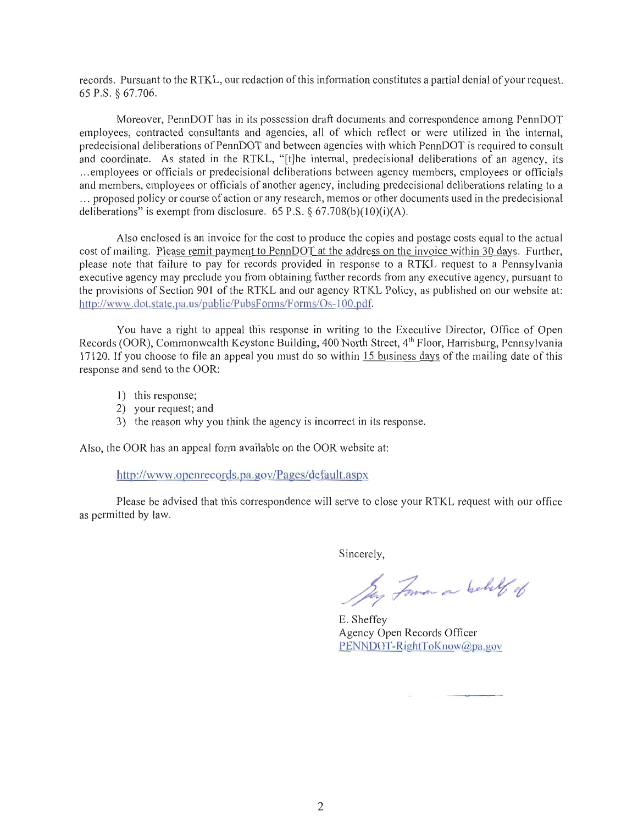records. Pursuant to the RTKL, our redaction of this information constitutes a partial denial of your request. 65 P.S. § 67.706.

Moreover, PennDOT has in its possession draft documents and correspondence among PennDOT employees, contracted consultants and agencies, all of which reflect or were utilized in the internal. predecisional deliberations of PennDOT and between agencies with which PennDOT is required to consult and coordinate. As stated in the RTKL, "[t]he internal, predecisional deliberations of an agency, its ...employees or officials or predecisional deliberations between agency members, employees or officials and members, employees or officials of another agency, including predecisional deliberations relating to a ... proposed policy or course of action or any research, memos or other documents used in the predecisional deliberations" is exempt from disclosure.  $65$  P.S. §  $67.708(b)(10)(i)(A)$ .

Also enclosed is an invoice for the cost to produce the copies and postage costs equal to the actual cost of mailing. Please remit payment to PennDOT at the address on the invoice within 30 days. Further, please note that failure to pay for records provided in response to a RTKL request to a Pennsylvania executive agency may preclude you from obtaining further records from any executive agency, pursuant to the provisions of Section 901 of the RTKL and our agency RTKL Policy, as published on our website at: http://www.dot.state.pa.us/public/PubsForms/Forms/Os-100.pdf.

You have a right to appeal this response in writing to the Executive Director, Office of Open Records (OOR), Commonwealth Keystone Building, 400 North Street, 4<sup>th</sup> Floor, Harrisburg, Pennsylvania 17120. If you choose to file an appeal you must do so within 15 business days of the mailing date of this response and send to the OOR:

- 1) this response;
- 2) your request; and
- 3) the reason why you think the agency is incorrect in its response.

Also, the OOR has an appeal form available on the OOR website at:

http://www.openrecords.pa.gov/Pages/default.aspx

Please be advised that this correspondence will serve to close your RTKL request with our office as permitted by law.

Sincerely,

May Forman on behelf of

E. Sheffey Agency Open Records Officer PENNDOT-RightToKnow@pa.gov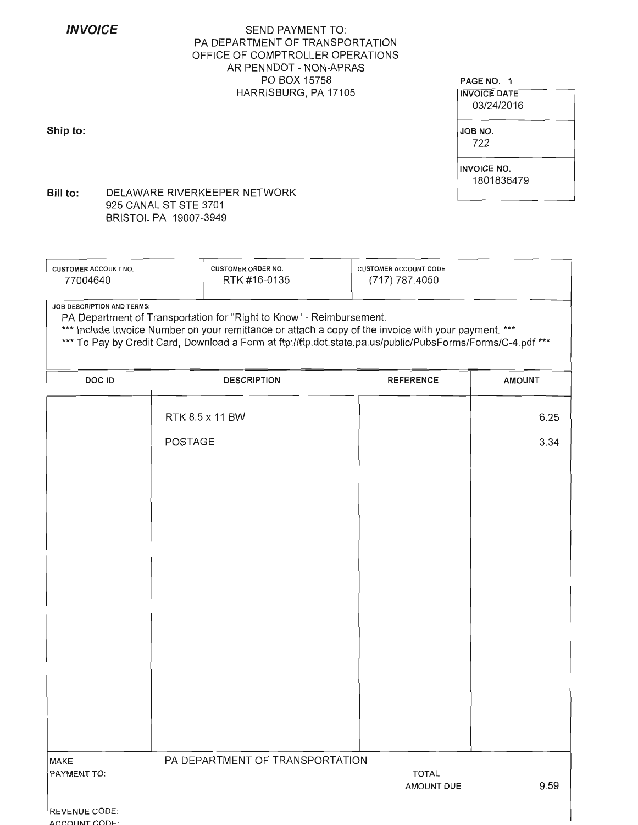**INVOICE** 

Ship to:

## **SEND PAYMENT TO:** PA DEPARTMENT OF TRANSPORTATION OFFICE OF COMPTROLLER OPERATIONS AR PENNDOT - NON-APRAS PO BOX 15758 HARRISBURG, PA 17105

#### PAGE NO. 1

**INVOICE DATE** 03/24/2016

JOB NO. 722

**INVOICE NO.** 1801836479

DELAWARE RIVERKEEPER NETWORK Bill to: 925 CANAL ST STE 3701 BRISTOL PA 19007-3949

| <b>CUSTOMER ACCOUNT NO.</b> | <b>CUSTOMER ORDER NO.</b> | <b>CUSTOMER ACCOUNT CODE</b> |
|-----------------------------|---------------------------|------------------------------|
| 77004640                    | RTK #16-0135              | (717) 787.4050               |
|                             |                           |                              |

JOB DESCRIPTION AND TERMS:

PA Department of Transportation for "Right to Know" - Reimbursement.

\*\*\* Include Invoice Number on your remittance or attach a copy of the invoice with your payment. \*\*\*

\*\*\* To Pay by Credit Card, Download a Form at ftp://ftp.dot.state.pa.us/public/PubsForms/Forms/C-4.pdf \*\*\*

| DOC ID                                  | <b>DESCRIPTION</b>              | <b>REFERENCE</b>           | <b>AMOUNT</b> |
|-----------------------------------------|---------------------------------|----------------------------|---------------|
|                                         | RTK 8.5 x 11 BW                 |                            | 6.25          |
|                                         | POSTAGE                         |                            | 3.34          |
|                                         |                                 |                            |               |
|                                         |                                 |                            |               |
|                                         |                                 |                            |               |
|                                         |                                 |                            |               |
|                                         |                                 |                            |               |
|                                         |                                 |                            |               |
|                                         |                                 |                            |               |
|                                         |                                 |                            |               |
|                                         |                                 |                            |               |
| MAKE                                    | PA DEPARTMENT OF TRANSPORTATION |                            |               |
| PAYMENT TO:                             |                                 | <b>TOTAL</b><br>AMOUNT DUE | 9.59          |
| REVENUE CODE:<br>$\sqrt{200}$ INT CODE. |                                 |                            |               |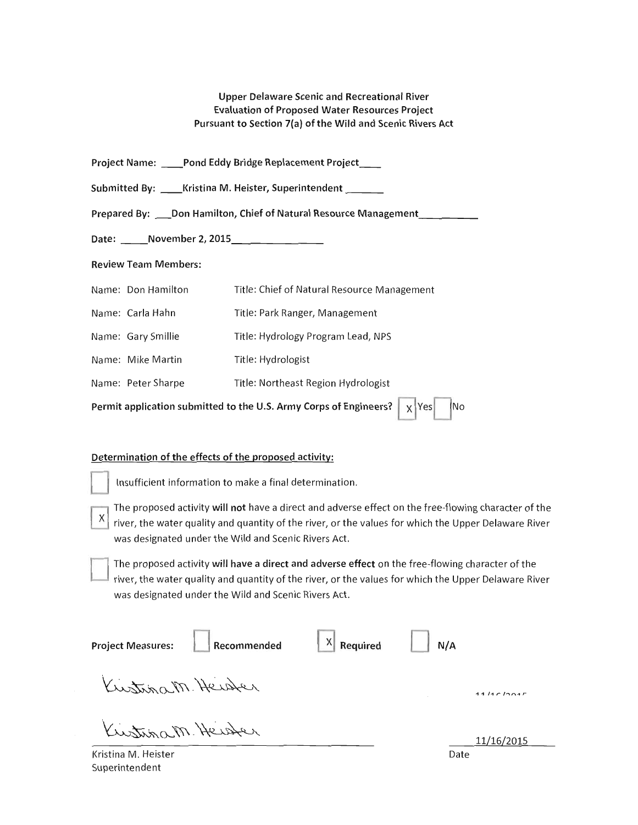**Upper Delaware Scenic and Recreational River Evaluation of Proposed Water Resources Project** Pursuant to Section 7(a) of the Wild and Scenic Rivers Act

| <b>Project Name:</b> |  | _Pond Eddy Bridge Replacement Project_ |  |
|----------------------|--|----------------------------------------|--|
|----------------------|--|----------------------------------------|--|

Submitted By: \_\_\_\_ Kristina M. Heister, Superintendent \_\_\_\_\_

Prepared By: \_\_\_ Don Hamilton, Chief of Natural Resource Management \_\_\_ \_\_\_

Date: November 2, 2015

**Review Team Members:** 

|                                                                                                         | Name: Don Hamilton | Title: Chief of Natural Resource Management |  |
|---------------------------------------------------------------------------------------------------------|--------------------|---------------------------------------------|--|
|                                                                                                         | Name: Carla Hahn   | Title: Park Ranger, Management              |  |
|                                                                                                         | Name: Gary Smillie | Title: Hydrology Program Lead, NPS          |  |
|                                                                                                         | Name: Mike Martin  | Title: Hydrologist                          |  |
|                                                                                                         | Name: Peter Sharpe | Title: Northeast Region Hydrologist         |  |
| Permit application submitted to the U.S. Army Corps of Engineers? $\vert \chi \vert$ Yes $\vert$<br> No |                    |                                             |  |

## Determination of the effects of the proposed activity:

Insufficient information to make a final determination.

The proposed activity will not have a direct and adverse effect on the free-flowing character of the X river, the water quality and quantity of the river, or the values for which the Upper Delaware River was designated under the Wild and Scenic Rivers Act.

The proposed activity will have a direct and adverse effect on the free-flowing character of the river, the water quality and quantity of the river, or the values for which the Upper Delaware River was designated under the Wild and Scenic Rivers Act.

| <b>Project Measures:</b> | Recommended | $\begin{array}{ c c } \hline \end{array}$ Required | N/A  |            |
|--------------------------|-------------|----------------------------------------------------|------|------------|
| Kustinam Heister         |             |                                                    |      | 11/10/1001 |
| Kustinam Heister         |             |                                                    |      | 11/16/2015 |
| Kristina M. Heister      |             |                                                    | Date |            |

Kristina M. Heister Superintendent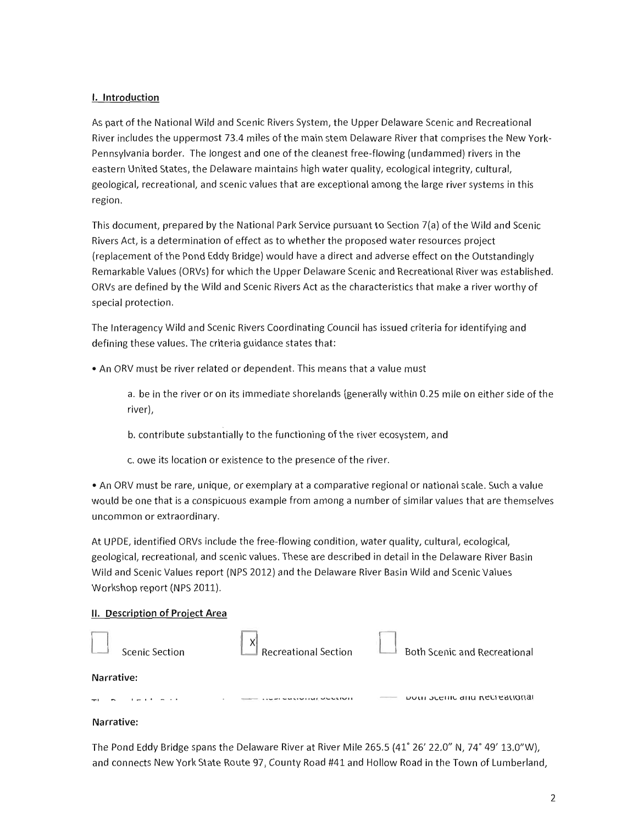## I. Introduction

As part of the National Wild and Scenic Rivers System, the Upper Delaware Scenic and Recreational River includes the uppermost 73.4 miles of the main stem Delaware River that comprises the New York-Pennsylvania border. The longest and one of the cleanest free-flowing (undammed) rivers in the eastern United States, the Delaware maintains high water quality, ecological integrity, cultural, geological, recreational, and scenic values that are exceptional among the large river systems in this region.

This document, prepared by the National Park Service pursuant to Section 7(a) of the Wild and Scenic Rivers Act, is a determination of effect as to whether the proposed water resources project (replacement of the Pond Eddy Bridge) would have a direct and adverse effect on the Outstandingly Remarkable Values (ORVs) for which the Upper Delaware Scenic and Recreational River was established. ORVs are defined by the Wild and Scenic Rivers Act as the characteristics that make a river worthy of special protection.

The Interagency Wild and Scenic Rivers Coordinating Council has issued criteria for identifying and defining these values. The criteria guidance states that:

• An ORV must be river related or dependent. This means that a value must

a. be in the river or on its immediate shorelands (generally within 0.25 mile on either side of the river),

b. contribute substantially to the functioning of the river ecosystem, and

c. owe its location or existence to the presence of the river.

• An ORV must be rare, unique, or exemplary at a comparative regional or national scale. Such a value would be one that is a conspicuous example from among a number of similar values that are themselves uncommon or extraordinary.

At UPDE, identified ORVs include the free-flowing condition, water quality, cultural, ecological, geological, recreational, and scenic values. These are described in detail in the Delaware River Basin Wild and Scenic Values report (NPS 2012) and the Delaware River Basin Wild and Scenic Values Workshop report (NPS 2011).

## II. Description of Project Area

| Scenic Section | <b>Recreational Section</b> | <b>Both Scenic and Recreational</b>  |
|----------------|-----------------------------|--------------------------------------|
| Narrative:     |                             |                                      |
|                | $-1$ $-1$ $-1$              | <b>DOLLI JULIUL AND NECLEALIONAL</b> |

## Narrative:

The Pond Eddy Bridge spans the Delaware River at River Mile 265.5 (41° 26' 22.0" N, 74° 49' 13.0"W). and connects New York State Route 97, County Road #41 and Hollow Road in the Town of Lumberland,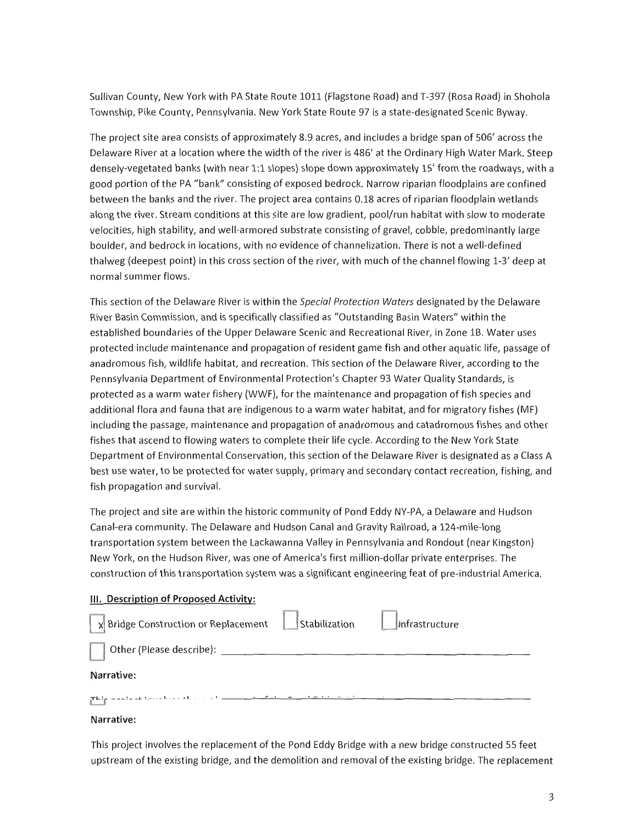Sullivan County, New York with PA State Route 1011 (Flagstone Road) and T-397 (Rosa Road) in Shohola Township, Pike County, Pennsylvania. New York State Route 97 is a state-designated Scenic Byway.

The project site area consists of approximately 8.9 acres, and includes a bridge span of 506' across the Delaware River at a location where the width of the river is 486' at the Ordinary High Water Mark. Steep denselv-vegetated banks (with near 1:1 slopes) slope down approximately 15' from the roadways, with a good portion of the PA "bank" consisting of exposed bedrock. Narrow riparian floodplains are confined between the banks and the river. The project area contains 0.18 acres of riparian floodplain wetlands along the river. Stream conditions at this site are low gradient, pool/run habitat with slow to moderate velocities, high stability, and well-armored substrate consisting of gravel, cobble, predominantly large boulder, and bedrock in locations, with no evidence of channelization. There is not a well-defined thalweg (deepest point) in this cross section of the river, with much of the channel flowing 1-3' deep at normal summer flows.

This section of the Delaware River is within the Special Protection Waters designated by the Delaware River Basin Commission, and is specifically classified as "Outstanding Basin Waters" within the established boundaries of the Upper Delaware Scenic and Recreational River, in Zone 1B. Water uses protected include maintenance and propagation of resident game fish and other aquatic life, passage of anadromous fish, wildlife habitat, and recreation. This section of the Delaware River, according to the Pennsylvania Department of Environmental Protection's Chapter 93 Water Quality Standards, is protected as a warm water fishery (WWF), for the maintenance and propagation of fish species and additional flora and fauna that are indigenous to a warm water habitat, and for migratory fishes (MF) including the passage, maintenance and propagation of anadromous and catadromous fishes and other fishes that ascend to flowing waters to complete their life cycle. According to the New York State Department of Environmental Conservation, this section of the Delaware River is designated as a Class A best use water, to be protected for water supply, primary and secondary contact recreation, fishing, and fish propagation and survival.

The project and site are within the historic community of Pond Eddy NY-PA, a Delaware and Hudson Canal-era community. The Delaware and Hudson Canal and Gravity Railroad, a 124-mile-long transportation system between the Lackawanna Valley in Pennsylvania and Rondout (near Kingston) New York, on the Hudson River, was one of America's first million-dollar private enterprises. The construction of this transportation system was a significant engineering feat of pre-industrial America.

## III. Description of Proposed Activity:

| $\mathbf{x}$ Bridge Construction or Replacement | Stabilization | Infrastructure |
|-------------------------------------------------|---------------|----------------|
| Other (Please describe):                        |               |                |
| <b>Narrative:</b>                               |               |                |
| والرابات والقامس المتنبية فسمة معتم الإقطاع     |               |                |

## Narrative:

This project involves the replacement of the Pond Eddy Bridge with a new bridge constructed 55 feet upstream of the existing bridge, and the demolition and removal of the existing bridge. The replacement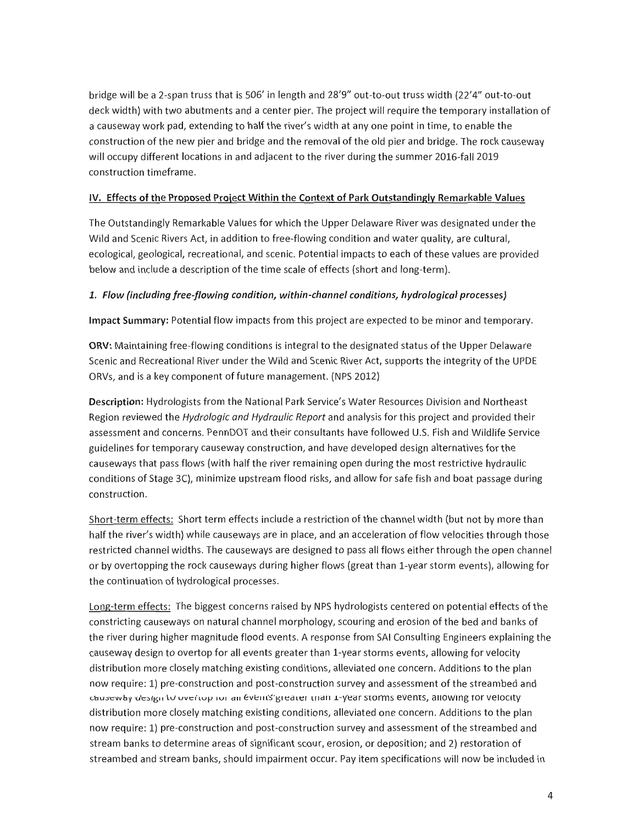bridge will be a 2-span truss that is 506' in length and 28'9" out-to-out truss width (22'4" out-to-out deck width) with two abutments and a center pier. The project will require the temporary installation of a causeway work pad, extending to half the river's width at any one point in time, to enable the construction of the new pier and bridge and the removal of the old pier and bridge. The rock causeway will occupy different locations in and adjacent to the river during the summer 2016-fall 2019 construction timeframe.

## IV. Effects of the Proposed Project Within the Context of Park Outstandingly Remarkable Values

The Outstandingly Remarkable Values for which the Upper Delaware River was designated under the Wild and Scenic Rivers Act, in addition to free-flowing condition and water quality, are cultural, ecological, geological, recreational, and scenic. Potential impacts to each of these values are provided below and include a description of the time scale of effects (short and long-term).

## 1. Flow (including free-flowing condition, within-channel conditions, hydrological processes)

Impact Summary: Potential flow impacts from this project are expected to be minor and temporary.

ORV: Maintaining free-flowing conditions is integral to the designated status of the Upper Delaware Scenic and Recreational River under the Wild and Scenic River Act, supports the integrity of the UPDE ORVs, and is a key component of future management. (NPS 2012)

Description: Hydrologists from the National Park Service's Water Resources Division and Northeast Region reviewed the Hydrologic and Hydraulic Report and analysis for this project and provided their assessment and concerns. PennDOT and their consultants have followed U.S. Fish and Wildlife Service guidelines for temporary causeway construction, and have developed design alternatives for the causeways that pass flows (with half the river remaining open during the most restrictive hydraulic conditions of Stage 3C), minimize upstream flood risks, and allow for safe fish and boat passage during construction.

Short-term effects: Short term effects include a restriction of the channel width (but not by more than half the river's width) while causeways are in place, and an acceleration of flow velocities through those restricted channel widths. The causeways are designed to pass all flows either through the open channel or by overtopping the rock causeways during higher flows (great than 1-year storm events), allowing for the continuation of hydrological processes.

Long-term effects: The biggest concerns raised by NPS hydrologists centered on potential effects of the constricting causeways on natural channel morphology, scouring and erosion of the bed and banks of the river during higher magnitude flood events. A response from SAI Consulting Engineers explaining the causeway design to overtop for all events greater than 1-year storms events, allowing for velocity distribution more closely matching existing conditions, alleviated one concern. Additions to the plan now require: 1) pre-construction and post-construction survey and assessment of the streambed and causeway design to overtop for an events greater than 1-year storms events, allowing for velocity distribution more closely matching existing conditions, alleviated one concern. Additions to the plan now require: 1) pre-construction and post-construction survey and assessment of the streambed and stream banks to determine areas of significant scour, erosion, or deposition; and 2) restoration of streambed and stream banks, should impairment occur. Pay item specifications will now be included in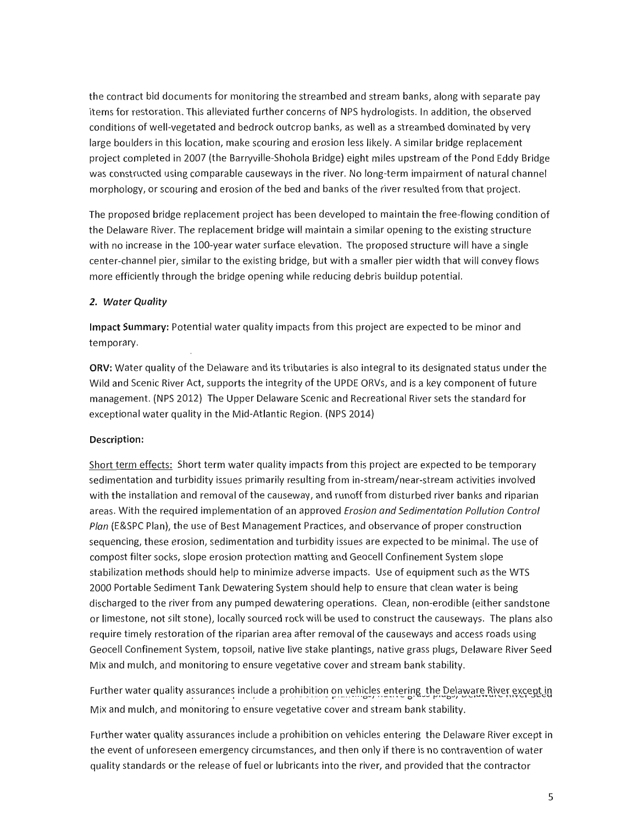the contract bid documents for monitoring the streambed and stream banks, along with separate pay items for restoration. This alleviated further concerns of NPS hydrologists. In addition, the observed conditions of well-vegetated and bedrock outcrop banks, as well as a streambed dominated by very large boulders in this location, make scouring and erosion less likely. A similar bridge replacement project completed in 2007 (the Barryville-Shohola Bridge) eight miles upstream of the Pond Eddy Bridge was constructed using comparable causeways in the river. No long-term impairment of natural channel morphology, or scouring and erosion of the bed and banks of the river resulted from that project.

The proposed bridge replacement project has been developed to maintain the free-flowing condition of the Delaware River. The replacement bridge will maintain a similar opening to the existing structure with no increase in the 100-year water surface elevation. The proposed structure will have a single center-channel pier, similar to the existing bridge, but with a smaller pier width that will convey flows more efficiently through the bridge opening while reducing debris buildup potential.

## 2. Water Quality

Impact Summary: Potential water quality impacts from this project are expected to be minor and temporary.

ORV: Water quality of the Delaware and its tributaries is also integral to its designated status under the Wild and Scenic River Act, supports the integrity of the UPDE ORVs, and is a key component of future management. (NPS 2012) The Upper Delaware Scenic and Recreational River sets the standard for exceptional water quality in the Mid-Atlantic Region. (NPS 2014)

## Description:

Short term effects: Short term water quality impacts from this project are expected to be temporary sedimentation and turbidity issues primarily resulting from in-stream/near-stream activities involved with the installation and removal of the causeway, and runoff from disturbed river banks and riparian areas. With the required implementation of an approved Erosion and Sedimentation Pollution Control Plan (E&SPC Plan), the use of Best Management Practices, and observance of proper construction sequencing, these erosion, sedimentation and turbidity issues are expected to be minimal. The use of compost filter socks, slope erosion protection matting and Geocell Confinement System slope stabilization methods should help to minimize adverse impacts. Use of equipment such as the WTS 2000 Portable Sediment Tank Dewatering System should help to ensure that clean water is being discharged to the river from any pumped dewatering operations. Clean, non-erodible (either sandstone or limestone, not silt stone), locally sourced rock will be used to construct the causeways. The plans also require timely restoration of the riparian area after removal of the causeways and access roads using Geocell Confinement System, topsoil, native live stake plantings, native grass plugs, Delaware River Seed Mix and mulch, and monitoring to ensure vegetative cover and stream bank stability.

Further water quality assurances include a prohibition on vehicles entering the Delaware River except in Mix and mulch, and monitoring to ensure vegetative cover and stream bank stability.

Further water quality assurances include a prohibition on vehicles entering the Delaware River except in the event of unforeseen emergency circumstances, and then only if there is no contravention of water quality standards or the release of fuel or lubricants into the river, and provided that the contractor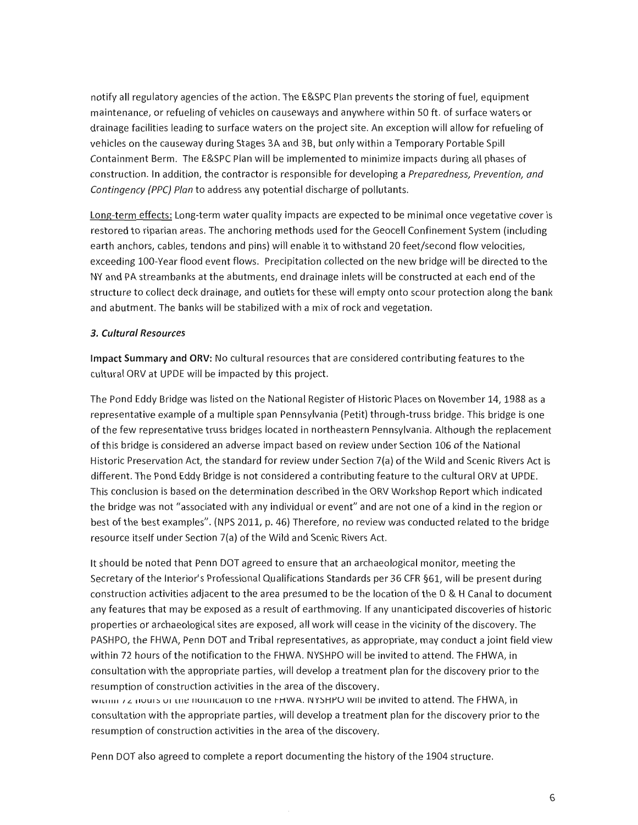notify all regulatory agencies of the action. The E&SPC Plan prevents the storing of fuel, equipment maintenance, or refueling of vehicles on causeways and anywhere within 50 ft. of surface waters or drainage facilities leading to surface waters on the project site. An exception will allow for refueling of vehicles on the causeway during Stages 3A and 3B, but only within a Temporary Portable Spill Containment Berm. The E&SPC Plan will be implemented to minimize impacts during all phases of construction. In addition, the contractor is responsible for developing a Preparedness, Prevention, and Contingency (PPC) Plan to address any potential discharge of pollutants.

Long-term effects: Long-term water quality impacts are expected to be minimal once vegetative cover is restored to riparian areas. The anchoring methods used for the Geocell Confinement System (including earth anchors, cables, tendons and pins) will enable it to withstand 20 feet/second flow velocities, exceeding 100-Year flood event flows. Precipitation collected on the new bridge will be directed to the NY and PA streambanks at the abutments, end drainage inlets will be constructed at each end of the structure to collect deck drainage, and outlets for these will empty onto scour protection along the bank and abutment. The banks will be stabilized with a mix of rock and vegetation.

## 3. Cultural Resources

Impact Summary and ORV: No cultural resources that are considered contributing features to the cultural ORV at UPDE will be impacted by this project.

The Pond Eddy Bridge was listed on the National Register of Historic Places on November 14, 1988 as a representative example of a multiple span Pennsylvania (Petit) through-truss bridge. This bridge is one of the few representative truss bridges located in northeastern Pennsylvania. Although the replacement of this bridge is considered an adverse impact based on review under Section 106 of the National Historic Preservation Act, the standard for review under Section 7(a) of the Wild and Scenic Rivers Act is different. The Pond Eddy Bridge is not considered a contributing feature to the cultural ORV at UPDE. This conclusion is based on the determination described in the ORV Workshop Report which indicated the bridge was not "associated with any individual or event" and are not one of a kind in the region or best of the best examples". (NPS 2011, p. 46) Therefore, no review was conducted related to the bridge resource itself under Section 7(a) of the Wild and Scenic Rivers Act.

It should be noted that Penn DOT agreed to ensure that an archaeological monitor, meeting the Secretary of the Interior's Professional Qualifications Standards per 36 CFR §61, will be present during construction activities adiacent to the area presumed to be the location of the D & H Canal to document any features that may be exposed as a result of earthmoving. If any unanticipated discoveries of historic properties or archaeological sites are exposed, all work will cease in the vicinity of the discovery. The PASHPO, the FHWA, Penn DOT and Tribal representatives, as appropriate, may conduct a joint field view within 72 hours of the notification to the FHWA. NYSHPO will be invited to attend. The FHWA, in consultation with the appropriate parties, will develop a treatment plan for the discovery prior to the resumption of construction activities in the area of the discovery.

within 12 nours of the notification to the FHWA. NYSHPO will be invited to attend. The FHWA, in consultation with the appropriate parties, will develop a treatment plan for the discovery prior to the resumption of construction activities in the area of the discovery.

Penn DOT also agreed to complete a report documenting the history of the 1904 structure.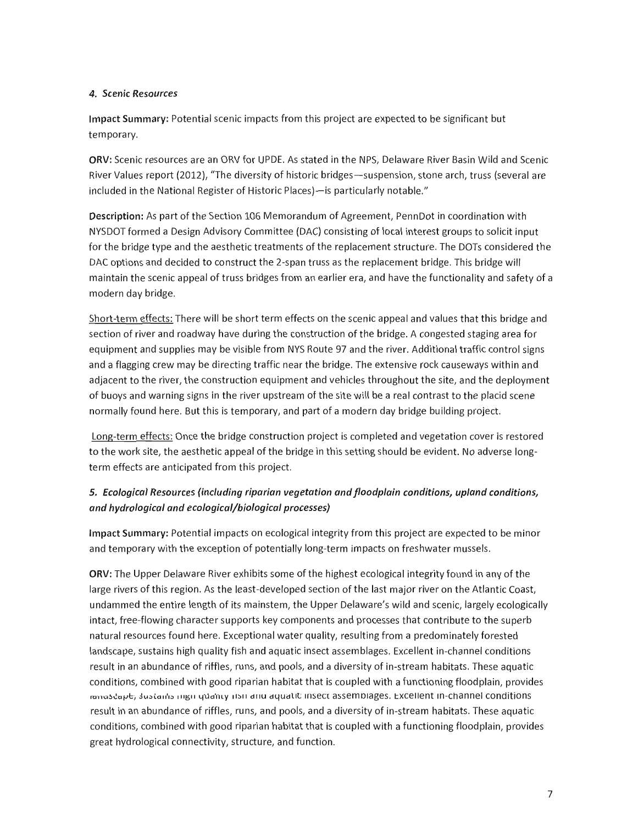## 4. Scenic Resources

Impact Summary: Potential scenic impacts from this project are expected to be significant but temporary.

ORV: Scenic resources are an ORV for UPDE. As stated in the NPS, Delaware River Basin Wild and Scenic River Values report (2012), "The diversity of historic bridges - suspension, stone arch, truss (several are included in the National Register of Historic Places)—is particularly notable."

Description: As part of the Section 106 Memorandum of Agreement, PennDot in coordination with NYSDOT formed a Design Advisory Committee (DAC) consisting of local interest groups to solicit input for the bridge type and the aesthetic treatments of the replacement structure. The DOTs considered the DAC options and decided to construct the 2-span truss as the replacement bridge. This bridge will maintain the scenic appeal of truss bridges from an earlier era, and have the functionality and safety of a modern day bridge.

Short-term effects: There will be short term effects on the scenic appeal and values that this bridge and section of river and roadway have during the construction of the bridge. A congested staging area for equipment and supplies may be visible from NYS Route 97 and the river. Additional traffic control signs and a flagging crew may be directing traffic near the bridge. The extensive rock causeways within and adiacent to the river, the construction equipment and vehicles throughout the site, and the deployment of buoys and warning signs in the river upstream of the site will be a real contrast to the placid scene normally found here. But this is temporary, and part of a modern day bridge building proiect.

Long-term effects: Once the bridge construction project is completed and vegetation cover is restored to the work site, the aesthetic appeal of the bridge in this setting should be evident. No adverse longterm effects are anticipated from this project.

## 5. Ecological Resources (including riparian vegetation and floodplain conditions, upland conditions, and hydrological and ecological/biological processes)

Impact Summary: Potential impacts on ecological integrity from this project are expected to be minor and temporary with the exception of potentially long-term impacts on freshwater mussels.

ORV: The Upper Delaware River exhibits some of the highest ecological integrity found in any of the large rivers of this region. As the least-developed section of the last major river on the Atlantic Coast, undammed the entire length of its mainstem, the Upper Delaware's wild and scenic, largely ecologically intact, free-flowing character supports key components and processes that contribute to the superb natural resources found here. Exceptional water quality, resulting from a predominately forested landscape, sustains high quality fish and aquatic insect assemblages. Excellent in-channel conditions result in an abundance of riffles, runs, and pools, and a diversity of in-stream habitats. These aquatic conditions, combined with good riparian habitat that is coupled with a functioning floodplain, provides ranusdape, sustains ingli-quanty itsli and aquatic insect assemblages. Excellent in-channel conditions result in an abundance of riffles, runs, and pools, and a diversity of in-stream habitats. These aquatic conditions, combined with good riparian habitat that is coupled with a functioning floodplain, provides great hydrological connectivity, structure, and function.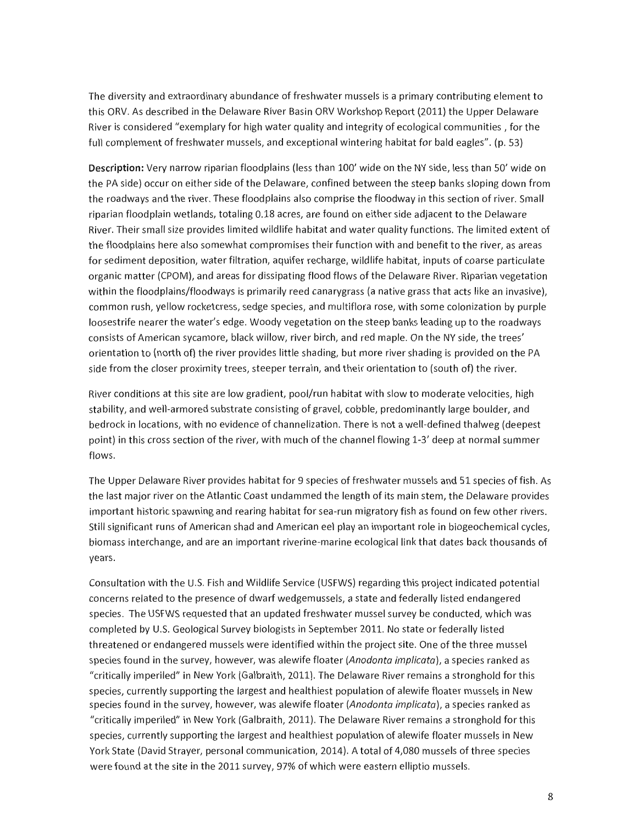The diversity and extraordinary abundance of freshwater mussels is a primary contributing element to this ORV. As described in the Delaware River Basin ORV Workshop Report (2011) the Upper Delaware River is considered "exemplary for high water quality and integrity of ecological communities, for the full complement of freshwater mussels, and exceptional wintering habitat for bald eagles". (p. 53)

Description: Very narrow riparian floodplains (less than 100' wide on the NY side, less than 50' wide on the PA side) occur on either side of the Delaware, confined between the steep banks sloping down from the roadways and the river. These floodplains also comprise the floodway in this section of river. Small riparian floodplain wetlands, totaling 0.18 acres, are found on either side adjacent to the Delaware River. Their small size provides limited wildlife habitat and water quality functions. The limited extent of the floodplains here also somewhat compromises their function with and benefit to the river, as areas for sediment deposition, water filtration, aquifer recharge, wildlife habitat, inputs of coarse particulate organic matter (CPOM), and areas for dissipating flood flows of the Delaware River. Riparian vegetation within the floodplains/floodways is primarily reed canarygrass (a native grass that acts like an invasive), common rush, yellow rocketcress, sedge species, and multiflora rose, with some colonization by purple loosestrife nearer the water's edge. Woody vegetation on the steep banks leading up to the roadways consists of American sycamore, black willow, river birch, and red maple. On the NY side, the trees' orientation to (north of) the river provides little shading, but more river shading is provided on the PA side from the closer proximity trees, steeper terrain, and their orientation to (south of) the river.

River conditions at this site are low gradient, pool/run habitat with slow to moderate velocities, high stability, and well-armored substrate consisting of gravel, cobble, predominantly large boulder, and bedrock in locations, with no evidence of channelization. There is not a well-defined thalweg (deepest point) in this cross section of the river, with much of the channel flowing 1-3' deep at normal summer flows.

The Upper Delaware River provides habitat for 9 species of freshwater mussels and 51 species of fish. As the last major river on the Atlantic Coast undammed the length of its main stem, the Delaware provides important historic spawning and rearing habitat for sea-run migratory fish as found on few other rivers. Still significant runs of American shad and American eel play an important role in biogeochemical cycles, biomass interchange, and are an important riverine-marine ecological link that dates back thousands of years.

Consultation with the U.S. Fish and Wildlife Service (USFWS) regarding this project indicated potential concerns related to the presence of dwarf wedgemussels, a state and federally listed endangered species. The USFWS requested that an updated freshwater mussel survey be conducted, which was completed by U.S. Geological Survey biologists in September 2011. No state or federally listed threatened or endangered mussels were identified within the project site. One of the three mussel species found in the survey, however, was alewife floater (Anodonta implicata), a species ranked as "critically imperiled" in New York (Galbraith, 2011). The Delaware River remains a stronghold for this species, currently supporting the largest and healthiest population of alewife floater mussels in New species found in the survey, however, was alewife floater (Anodonta implicata), a species ranked as "critically imperiled" in New York (Galbraith, 2011). The Delaware River remains a stronghold for this species, currently supporting the largest and healthiest population of alewife floater mussels in New York State (David Strayer, personal communication, 2014). A total of 4,080 mussels of three species were found at the site in the 2011 survey, 97% of which were eastern elliptio mussels.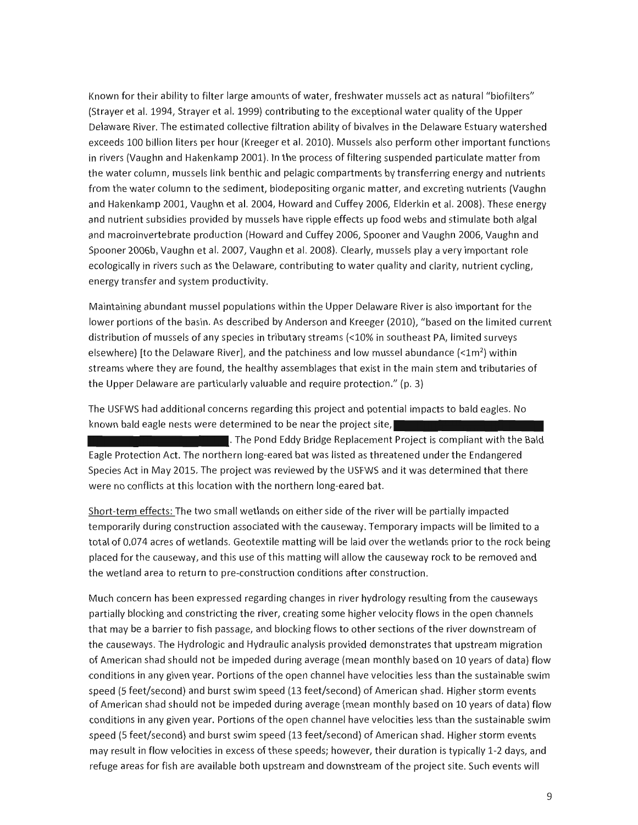Known for their ability to filter large amounts of water, freshwater mussels act as natural "biofilters" (Strayer et al. 1994, Strayer et al. 1999) contributing to the exceptional water quality of the Upper Delaware River. The estimated collective filtration ability of bivalves in the Delaware Estuary watershed exceeds 100 billion liters per hour (Kreeger et al. 2010). Mussels also perform other important functions in rivers (Vaughn and Hakenkamp 2001). In the process of filtering suspended particulate matter from the water column, mussels link benthic and pelagic compartments by transferring energy and nutrients from the water column to the sediment, biodepositing organic matter, and excreting nutrients (Vaughn and Hakenkamp 2001, Vaughn et al. 2004, Howard and Cuffey 2006, Elderkin et al. 2008). These energy and nutrient subsidies provided by mussels have ripple effects up food webs and stimulate both algal and macroinvertebrate production (Howard and Cuffey 2006, Spooner and Vaughn 2006, Vaughn and Spooner 2006b, Vaughn et al. 2007, Vaughn et al. 2008). Clearly, mussels play a very important role ecologically in rivers such as the Delaware, contributing to water quality and clarity, nutrient cycling, energy transfer and system productivity.

Maintaining abundant mussel populations within the Upper Delaware River is also important for the lower portions of the basin. As described by Anderson and Kreeger (2010), "based on the limited current distribution of mussels of any species in tributary streams (<10% in southeast PA, limited surveys elsewhere) [to the Delaware River], and the patchiness and low mussel abundance  $\left($  <1m<sup>2</sup>) within streams where they are found, the healthy assemblages that exist in the main stem and tributaries of the Upper Delaware are particularly valuable and require protection." (p. 3)

The USFWS had additional concerns regarding this project and potential impacts to bald eagles. No known bald eagle nests were determined to be near the project site,

. The Pond Eddy Bridge Replacement Project is compliant with the Bald Eagle Protection Act. The northern long-eared bat was listed as threatened under the Endangered Species Act in May 2015. The project was reviewed by the USFWS and it was determined that there were no conflicts at this location with the northern long-eared bat.

Short-term effects: The two small wetlands on either side of the river will be partially impacted temporarily during construction associated with the causeway. Temporary impacts will be limited to a total of 0.074 acres of wetlands. Geotextile matting will be laid over the wetlands prior to the rock being placed for the causeway, and this use of this matting will allow the causeway rock to be removed and the wetland area to return to pre-construction conditions after construction.

Much concern has been expressed regarding changes in river hydrology resulting from the causeways partially blocking and constricting the river, creating some higher velocity flows in the open channels that may be a barrier to fish passage, and blocking flows to other sections of the river downstream of the causeways. The Hydrologic and Hydraulic analysis provided demonstrates that upstream migration of American shad should not be impeded during average (mean monthly based on 10 years of data) flow conditions in any given year. Portions of the open channel have velocities less than the sustainable swim speed (5 feet/second) and burst swim speed (13 feet/second) of American shad. Higher storm events of American shad should not be impeded during average (mean monthly based on 10 years of data) flow conditions in any given year. Portions of the open channel have velocities less than the sustainable swim speed (5 feet/second) and burst swim speed (13 feet/second) of American shad. Higher storm events may result in flow velocities in excess of these speeds; however, their duration is typically 1-2 days, and refuge areas for fish are available both upstream and downstream of the project site. Such events will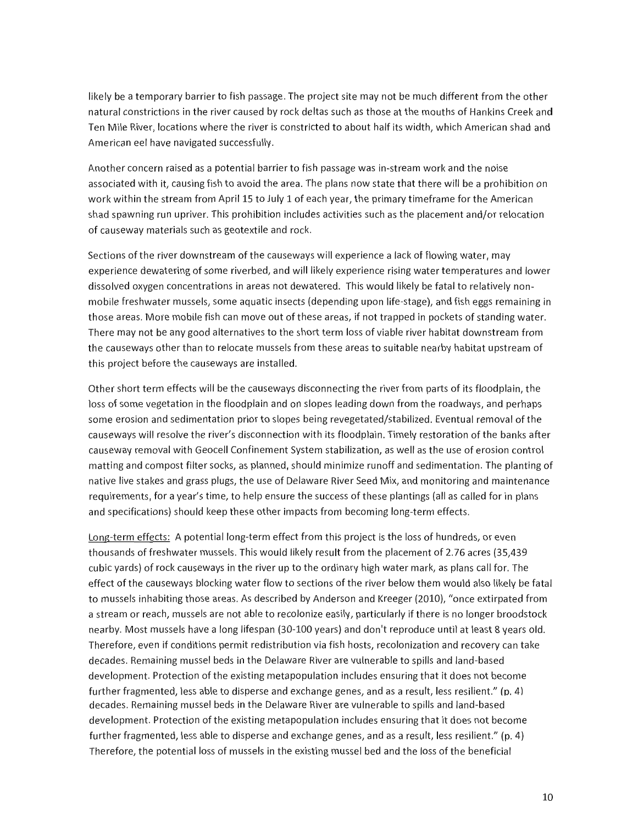likely be a temporary barrier to fish passage. The project site may not be much different from the other natural constrictions in the river caused by rock deltas such as those at the mouths of Hankins Creek and Ten Mile River, locations where the river is constricted to about half its width, which American shad and American eel have navigated successfully.

Another concern raised as a potential barrier to fish passage was in-stream work and the noise associated with it, causing fish to avoid the area. The plans now state that there will be a prohibition on work within the stream from April 15 to July 1 of each year, the primary timeframe for the American shad spawning run upriver. This prohibition includes activities such as the placement and/or relocation of causeway materials such as geotextile and rock.

Sections of the river downstream of the causeways will experience a lack of flowing water, may experience dewatering of some riverbed, and will likely experience rising water temperatures and lower dissolved oxygen concentrations in areas not dewatered. This would likely be fatal to relatively nonmobile freshwater mussels, some aquatic insects (depending upon life-stage), and fish eggs remaining in those areas. More mobile fish can move out of these areas, if not trapped in pockets of standing water. There may not be any good alternatives to the short term loss of viable river habitat downstream from the causeways other than to relocate mussels from these areas to suitable nearby habitat upstream of this project before the causeways are installed.

Other short term effects will be the causeways disconnecting the river from parts of its floodplain, the loss of some vegetation in the floodplain and on slopes leading down from the roadways, and perhaps some erosion and sedimentation prior to slopes being revegetated/stabilized. Eventual removal of the causeways will resolve the river's disconnection with its floodplain. Timely restoration of the banks after causeway removal with Geocell Confinement System stabilization, as well as the use of erosion control matting and compost filter socks, as planned, should minimize runoff and sedimentation. The planting of native live stakes and grass plugs, the use of Delaware River Seed Mix, and monitoring and maintenance requirements, for a year's time, to help ensure the success of these plantings (all as called for in plans and specifications) should keep these other impacts from becoming long-term effects.

Long-term effects: A potential long-term effect from this project is the loss of hundreds, or even thousands of freshwater mussels. This would likely result from the placement of 2.76 acres (35,439 cubic yards) of rock causeways in the river up to the ordinary high water mark, as plans call for. The effect of the causeways blocking water flow to sections of the river below them would also likely be fatal to mussels inhabiting those areas. As described by Anderson and Kreeger (2010), "once extirpated from a stream or reach, mussels are not able to recolonize easily, particularly if there is no longer broodstock nearby. Most mussels have a long lifespan (30-100 years) and don't reproduce until at least 8 years old. Therefore, even if conditions permit redistribution via fish hosts, recolonization and recovery can take decades. Remaining mussel beds in the Delaware River are vulnerable to spills and land-based development. Protection of the existing metapopulation includes ensuring that it does not become further fragmented, less able to disperse and exchange genes, and as a result, less resilient." (p. 4) decades. Remaining mussel beds in the Delaware River are vulnerable to spills and land-based development. Protection of the existing metapopulation includes ensuring that it does not become further fragmented, less able to disperse and exchange genes, and as a result, less resilient." (p. 4) Therefore, the potential loss of mussels in the existing mussel bed and the loss of the beneficial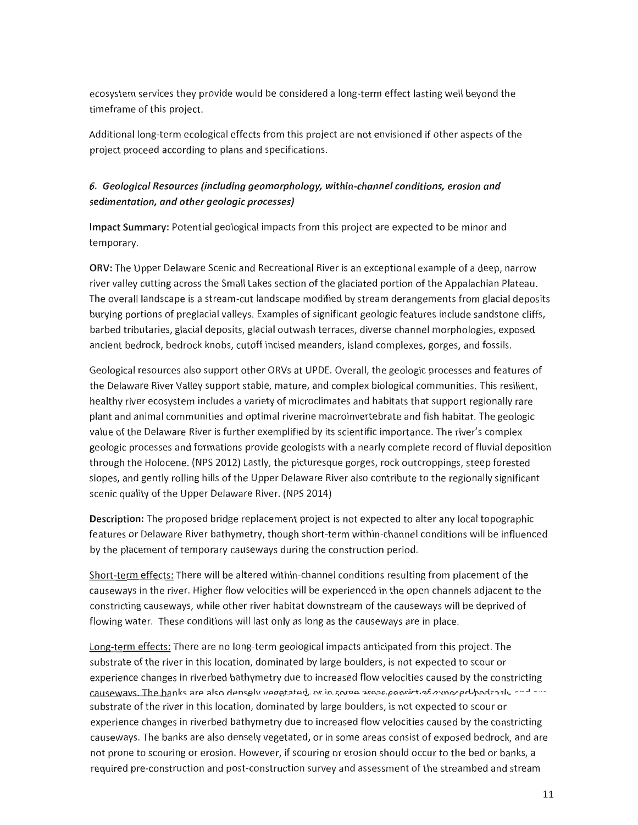ecosystem services they provide would be considered a long-term effect lasting well beyond the timeframe of this project.

Additional long-term ecological effects from this project are not envisioned if other aspects of the project proceed according to plans and specifications.

## 6. Geological Resources (including geomorphology, within-channel conditions, erosion and sedimentation, and other geologic processes)

Impact Summary: Potential geological impacts from this project are expected to be minor and temporary.

ORV: The Upper Delaware Scenic and Recreational River is an exceptional example of a deep, narrow river valley cutting across the Small Lakes section of the glaciated portion of the Appalachian Plateau. The overall landscape is a stream-cut landscape modified by stream derangements from glacial deposits burying portions of preglacial valleys. Examples of significant geologic features include sandstone cliffs, barbed tributaries, glacial deposits, glacial outwash terraces, diverse channel morphologies, exposed ancient bedrock, bedrock knobs, cutoff incised meanders, island complexes, gorges, and fossils.

Geological resources also support other ORVs at UPDE. Overall, the geologic processes and features of the Delaware River Valley support stable, mature, and complex biological communities. This resilient, healthy river ecosystem includes a variety of microclimates and habitats that support regionally rare plant and animal communities and optimal riverine macroinvertebrate and fish habitat. The geologic value of the Delaware River is further exemplified by its scientific importance. The river's complex geologic processes and formations provide geologists with a nearly complete record of fluvial deposition through the Holocene. (NPS 2012) Lastly, the picturesque gorges, rock outcroppings, steep forested slopes, and gently rolling hills of the Upper Delaware River also contribute to the regionally significant scenic quality of the Upper Delaware River. (NPS 2014)

Description: The proposed bridge replacement project is not expected to alter any local topographic features or Delaware River bathymetry, though short-term within-channel conditions will be influenced by the placement of temporary causeways during the construction period.

Short-term effects: There will be altered within-channel conditions resulting from placement of the causeways in the river. Higher flow velocities will be experienced in the open channels adjacent to the constricting causeways, while other river habitat downstream of the causeways will be deprived of flowing water. These conditions will last only as long as the causeways are in place.

Long-term effects: There are no long-term geological impacts anticipated from this project. The substrate of the river in this location, dominated by large boulders, is not expected to scour or experience changes in riverbed bathymetry due to increased flow velocities caused by the constricting causeways. The banks are also densely yeograted, or in some association over or proportional content substrate of the river in this location, dominated by large boulders, is not expected to scour or experience changes in riverbed bathymetry due to increased flow velocities caused by the constricting causeways. The banks are also densely vegetated, or in some areas consist of exposed bedrock, and are not prone to scouring or erosion. However, if scouring or erosion should occur to the bed or banks, a required pre-construction and post-construction survey and assessment of the streambed and stream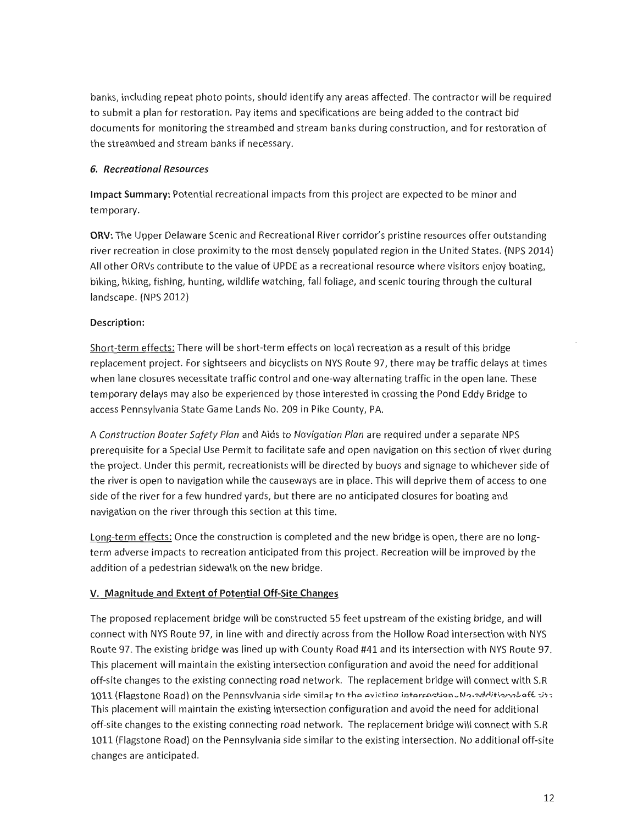banks, including repeat photo points, should identify any areas affected. The contractor will be required to submit a plan for restoration. Pay items and specifications are being added to the contract bid documents for monitoring the streambed and stream banks during construction, and for restoration of the streambed and stream banks if necessary.

## 6. Recreational Resources

Impact Summary: Potential recreational impacts from this project are expected to be minor and temporary.

ORV: The Upper Delaware Scenic and Recreational River corridor's pristine resources offer outstanding river recreation in close proximity to the most densely populated region in the United States. (NPS 2014) All other ORVs contribute to the value of UPDE as a recreational resource where visitors enjoy boating, biking, hiking, fishing, hunting, wildlife watching, fall foliage, and scenic touring through the cultural landscape. (NPS 2012)

## Description:

Short-term effects: There will be short-term effects on local recreation as a result of this bridge replacement project. For sightseers and bicyclists on NYS Route 97, there may be traffic delays at times when lane closures necessitate traffic control and one-way alternating traffic in the open lane. These temporary delays may also be experienced by those interested in crossing the Pond Eddy Bridge to access Pennsylvania State Game Lands No. 209 in Pike County, PA.

A Construction Boater Safety Plan and Aids to Navigation Plan are required under a separate NPS prerequisite for a Special Use Permit to facilitate safe and open navigation on this section of river during the project. Under this permit, recreationists will be directed by buoys and signage to whichever side of the river is open to navigation while the causeways are in place. This will deprive them of access to one side of the river for a few hundred yards, but there are no anticipated closures for boating and navigation on the river through this section at this time.

Long-term effects: Once the construction is completed and the new bridge is open, there are no longterm adverse impacts to recreation anticipated from this project. Recreation will be improved by the addition of a pedestrian sidewalk on the new bridge.

## V. Magnitude and Extent of Potential Off-Site Changes

The proposed replacement bridge will be constructed 55 feet upstream of the existing bridge, and will connect with NYS Route 97, in line with and directly across from the Hollow Road intersection with NYS Route 97. The existing bridge was lined up with County Road #41 and its intersection with NYS Route 97. This placement will maintain the existing intersection configuration and avoid the need for additional off-site changes to the existing connecting road network. The replacement bridge will connect with S.R 1011 (Flagstone Road) on the Pennsylvania side similar to the existing intersection Manaditions aft uto This placement will maintain the existing intersection configuration and avoid the need for additional off-site changes to the existing connecting road network. The replacement bridge will connect with S.R 1011 (Flagstone Road) on the Pennsylvania side similar to the existing intersection. No additional off-site changes are anticipated.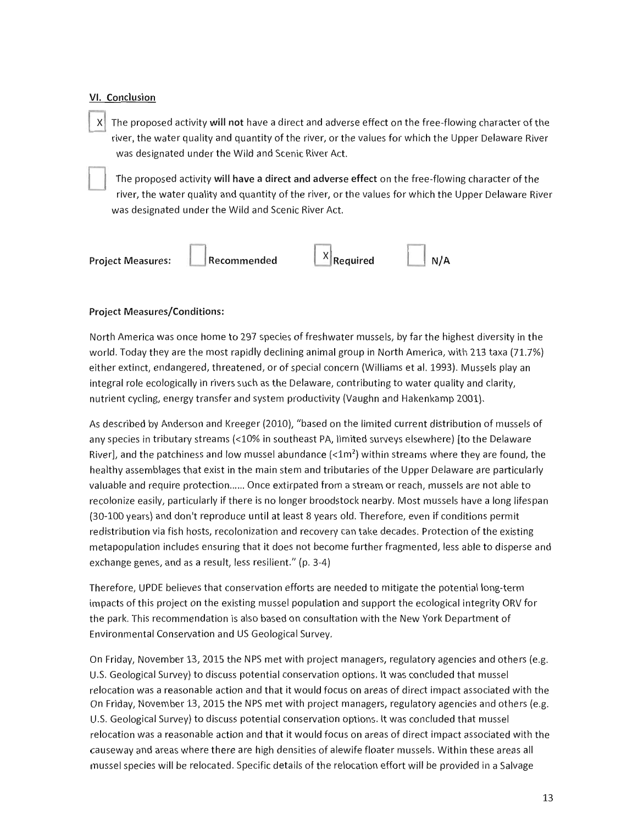## VI. Conclusion

X The proposed activity will not have a direct and adverse effect on the free-flowing character of the river, the water quality and quantity of the river, or the values for which the Upper Delaware River was designated under the Wild and Scenic River Act.



The proposed activity will have a direct and adverse effect on the free-flowing character of the river, the water quality and quantity of the river, or the values for which the Upper Delaware River was designated under the Wild and Scenic River Act.



## **Project Measures/Conditions:**

North America was once home to 297 species of freshwater mussels, by far the highest diversity in the world. Today they are the most rapidly declining animal group in North America, with 213 taxa (71.7%) either extinct, endangered, threatened, or of special concern (Williams et al. 1993). Mussels play an integral role ecologically in rivers such as the Delaware, contributing to water quality and clarity. nutrient cycling, energy transfer and system productivity (Vaughn and Hakenkamp 2001).

As described by Anderson and Kreeger (2010), "based on the limited current distribution of mussels of any species in tributary streams (<10% in southeast PA, limited surveys elsewhere) [to the Delaware River], and the patchiness and low mussel abundance  $\left($  <1m<sup>2</sup>) within streams where they are found, the healthy assemblages that exist in the main stem and tributaries of the Upper Delaware are particularly valuable and require protection...... Once extirpated from a stream or reach, mussels are not able to recolonize easily, particularly if there is no longer broodstock nearby. Most mussels have a long lifespan (30-100 years) and don't reproduce until at least 8 years old. Therefore, even if conditions permit redistribution via fish hosts, recolonization and recovery can take decades. Protection of the existing metapopulation includes ensuring that it does not become further fragmented, less able to disperse and exchange genes, and as a result, less resilient." (p. 3-4)

Therefore. UPDE believes that conservation efforts are needed to mitigate the potential long-term impacts of this project on the existing mussel population and support the ecological integrity ORV for the park. This recommendation is also based on consultation with the New York Department of Environmental Conservation and US Geological Survey.

On Friday, November 13, 2015 the NPS met with project managers, regulatory agencies and others (e.g. U.S. Geological Survey) to discuss potential conservation options. It was concluded that mussel relocation was a reasonable action and that it would focus on areas of direct impact associated with the On Friday, November 13, 2015 the NPS met with project managers, regulatory agencies and others (e.g. U.S. Geological Survey) to discuss potential conservation options. It was concluded that mussel relocation was a reasonable action and that it would focus on areas of direct impact associated with the causeway and areas where there are high densities of alewife floater mussels. Within these areas all mussel species will be relocated. Specific details of the relocation effort will be provided in a Salvage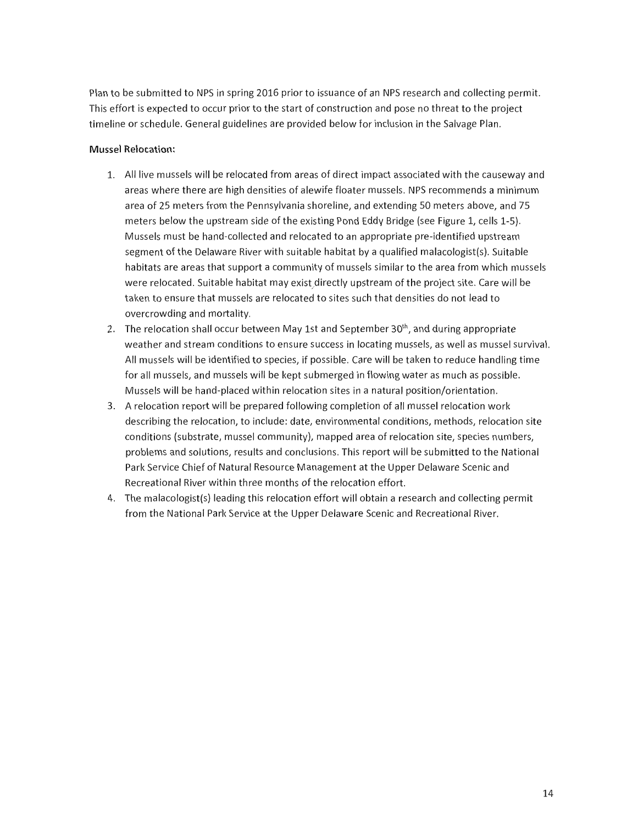Plan to be submitted to NPS in spring 2016 prior to issuance of an NPS research and collecting permit. This effort is expected to occur prior to the start of construction and pose no threat to the project timeline or schedule. General guidelines are provided below for inclusion in the Salvage Plan.

## **Mussel Relocation:**

- 1. All live mussels will be relocated from areas of direct impact associated with the causeway and areas where there are high densities of alewife floater mussels. NPS recommends a minimum area of 25 meters from the Pennsylvania shoreline, and extending 50 meters above, and 75 meters below the upstream side of the existing Pond Eddy Bridge (see Figure 1, cells 1-5). Mussels must be hand-collected and relocated to an appropriate pre-identified upstream segment of the Delaware River with suitable habitat by a qualified malacologist(s). Suitable habitats are areas that support a community of mussels similar to the area from which mussels were relocated. Suitable habitat may exist directly upstream of the project site. Care will be taken to ensure that mussels are relocated to sites such that densities do not lead to overcrowding and mortality.
- 2. The relocation shall occur between May 1st and September 30<sup>th</sup>, and during appropriate weather and stream conditions to ensure success in locating mussels, as well as mussel survival. All mussels will be identified to species, if possible. Care will be taken to reduce handling time for all mussels, and mussels will be kept submerged in flowing water as much as possible. Mussels will be hand-placed within relocation sites in a natural position/orientation.
- 3. A relocation report will be prepared following completion of all mussel relocation work describing the relocation, to include: date, environmental conditions, methods, relocation site conditions (substrate, mussel community), mapped area of relocation site, species numbers, problems and solutions, results and conclusions. This report will be submitted to the National Park Service Chief of Natural Resource Management at the Upper Delaware Scenic and Recreational River within three months of the relocation effort.
- 4. The malacologist(s) leading this relocation effort will obtain a research and collecting permit from the National Park Service at the Upper Delaware Scenic and Recreational River.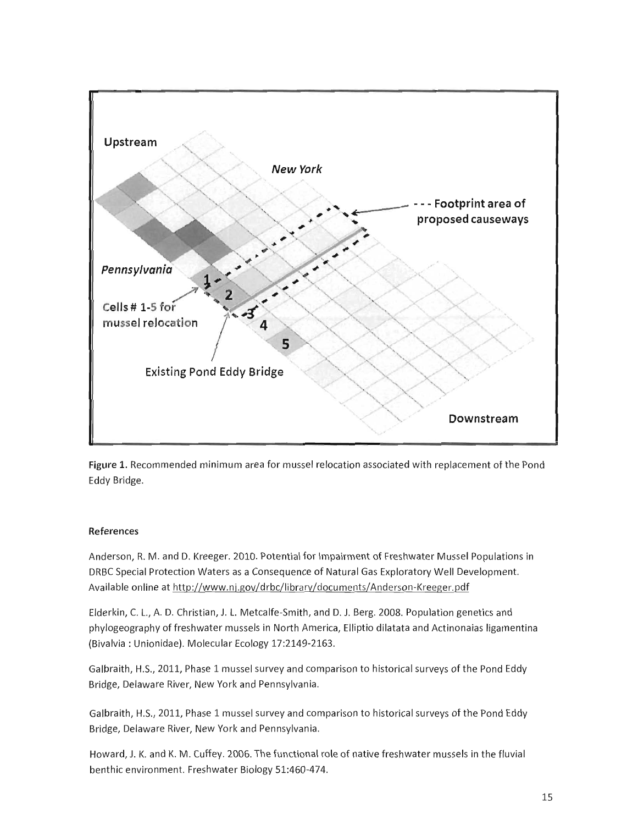

Figure 1. Recommended minimum area for mussel relocation associated with replacement of the Pond Eddy Bridge.

## **References**

Anderson, R. M. and D. Kreeger. 2010. Potential for Impairment of Freshwater Mussel Populations in DRBC Special Protection Waters as a Consequence of Natural Gas Exploratory Well Development. Available online at http://www.nj.gov/drbc/library/documents/Anderson-Kreeger.pdf

Elderkin, C. L., A. D. Christian, J. L. Metcalfe-Smith, and D. J. Berg. 2008. Population genetics and phylogeography of freshwater mussels in North America, Elliptio dilatata and Actinonaias ligamentina (Bivalvia: Unionidae). Molecular Ecology 17:2149-2163.

Galbraith, H.S., 2011, Phase 1 mussel survey and comparison to historical surveys of the Pond Eddy Bridge, Delaware River, New York and Pennsylvania.

Galbraith, H.S., 2011, Phase 1 mussel survey and comparison to historical surveys of the Pond Eddy Bridge, Delaware River, New York and Pennsylvania.

Howard, J. K. and K. M. Cuffey. 2006. The functional role of native freshwater mussels in the fluvial benthic environment. Freshwater Biology 51:460-474.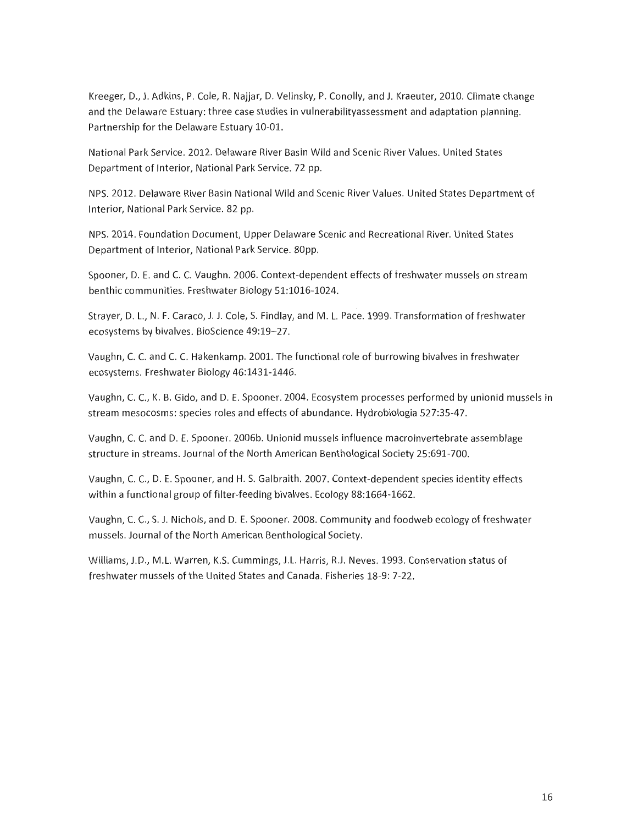Kreeger, D., J. Adkins, P. Cole, R. Najjar, D. Velinsky, P. Conolly, and J. Kraeuter, 2010. Climate change and the Delaware Estuary: three case studies in vulnerabilityassessment and adaptation planning. Partnership for the Delaware Estuary 10-01.

National Park Service, 2012, Delaware River Basin Wild and Scenic River Values, United States Department of Interior, National Park Service, 72 pp.

NPS. 2012. Delaware River Basin National Wild and Scenic River Values. United States Department of Interior, National Park Service. 82 pp.

NPS. 2014. Foundation Document, Upper Delaware Scenic and Recreational River. United States Department of Interior, National Park Service. 80pp.

Spooner, D. E. and C. C. Vaughn, 2006. Context-dependent effects of freshwater mussels on stream benthic communities. Freshwater Biology 51:1016-1024.

Strayer, D. L., N. F. Caraco, J. J. Cole, S. Findlay, and M. L. Pace. 1999. Transformation of freshwater ecosystems by bivalves. BioScience 49:19-27.

Vaughn, C. C. and C. C. Hakenkamp. 2001. The functional role of burrowing bivalves in freshwater ecosystems. Freshwater Biology 46:1431-1446.

Vaughn, C. C., K. B. Gido, and D. E. Spooner. 2004. Ecosystem processes performed by unionid mussels in stream mesocosms: species roles and effects of abundance. Hydrobiologia 527:35-47.

Vaughn, C. C. and D. E. Spooner. 2006b. Unionid mussels influence macroinvertebrate assemblage structure in streams. Journal of the North American Benthological Society 25:691-700.

Vaughn, C. C., D. E. Spooner, and H. S. Galbraith. 2007. Context-dependent species identity effects within a functional group of filter-feeding bivalves. Ecology 88:1664-1662.

Vaughn, C. C., S. J. Nichols, and D. E. Spooner. 2008. Community and foodweb ecology of freshwater mussels. Journal of the North American Benthological Society.

Williams, J.D., M.L. Warren, K.S. Cummings, J.L. Harris, R.J. Neves. 1993. Conservation status of freshwater mussels of the United States and Canada. Fisheries 18-9: 7-22.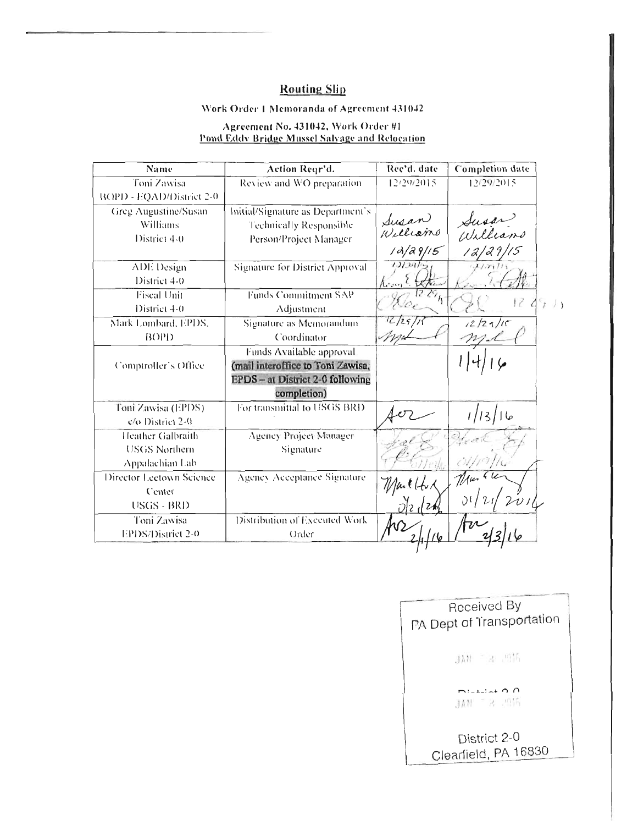## **Routing Slip**

## Work Order 1 Memoranda of Agreement 431042

# Agreement No. 431042, Work Order #1<br>Pond Eddy Bridge Mussel Salyage and Relocation

| Name                     | Action Regr'd.                    | Rec'd. date       | <b>Completion</b> date |  |
|--------------------------|-----------------------------------|-------------------|------------------------|--|
| Toni Zawisa              | Review and WO preparation.        | 12/29/2015        | 12/29/2015             |  |
| BOPD - EQAD/District 2-0 |                                   |                   |                        |  |
| Greg Augustine/Susan     | Initial/Signature as Department's |                   |                        |  |
| Williams                 | Technically Responsible           | Susan<br>Williams | Susar?<br>Williams     |  |
| District 4-0             | Person/Project Manager            |                   |                        |  |
|                          |                                   | 1d/29/15          |                        |  |
| ADE Design               | Signature for District Approval   | 12/29/4           |                        |  |
| District 4-0             |                                   |                   |                        |  |
| <b>Fiscal Unit</b>       | Funds Commitment SAP              |                   |                        |  |
| District 4-0             | Adjustment                        |                   |                        |  |
| Mark Lombard, EPDS,      | Signature as Memorandum           | C12511            | 12/27/15               |  |
| B()P)                    | Coordinator                       |                   |                        |  |
|                          | Funds Available approval          |                   |                        |  |
| Comptroller's Office     | (mail interoffice to Toni Zawisa, |                   |                        |  |
|                          | EPDS - at District 2-0 following  |                   |                        |  |
|                          | completion)                       |                   |                        |  |
| Toni Zawisa (EPDS)       | For transmittal to USGS BRD       |                   |                        |  |
| c/o District 2-0         |                                   |                   | عا [13/1               |  |
| Heather Galbraith        | Agency Project Manager            |                   |                        |  |
| USGS Northern            | Signature                         |                   |                        |  |
| Appalachian Lab          |                                   |                   |                        |  |
| Director Lectown Science | Agency Acceptance Signature       |                   |                        |  |
| Center                   |                                   | $1$ laille        |                        |  |
| USGS - BRD               |                                   |                   |                        |  |
| Toni Zawisa              | Distribution of Executed Work     |                   |                        |  |
| EPDS/District 2-0        | Order                             |                   |                        |  |

| Received By<br>PA Dept of Transportation |
|------------------------------------------|
| JAN TRUMA                                |
| $1 - 1 - 1 - 4$ $\cap$<br>JAN - R SON    |
| District 2-0<br>Clearfield, PA 16830     |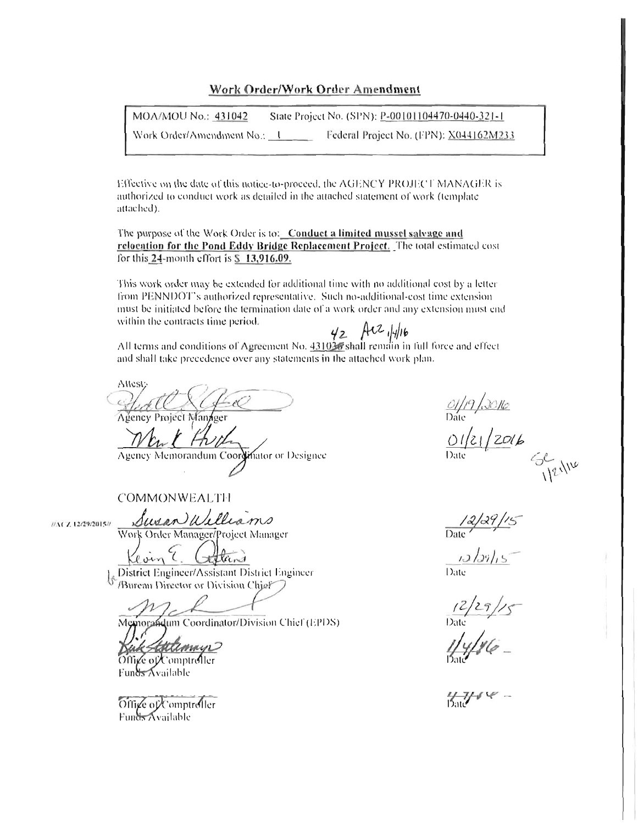## Work Order/Work Order Amendment

MOA/MOU No.: 431042 State Project No. (SPN): P-00101104470-0440-321-1 Work Order/Amendment No.: 1 Federal Project No. (FPN): X044162M233

Effective on the date of this notice-to-proceed, the AGENCY PROJECT MANAGER is authorized to conduct work as detailed in the attached statement of work (template attached).

The purpose of the Work Order is to: Conduct a limited mussel salvage and relocation for the Pond Eddy Bridge Replacement Project. The total estimated cost for this 24-month effort is \$ 13,916.09.

This work order may be extended for additional time with no additional cost by a letter from PENNDOT's authorized representative. Such no-additional-cost time extension must be initiated before the termination date of a work order and any extension must end within the contracts time period.

All terms and conditions of Agreement No.  $\frac{431036}{2}$  AC  $\frac{1}{4}$  for the force and effect<br>All terms and conditions of Agreement No.  $\frac{431036}{2}$  shall remain in full force and effect and shall take precedence over any statements in the attached work plan.

Attest: Agency Project Manager

Agency Memorandum Coordinator or Designee

**COMMONWEALTH** 

//ACZ 12/29/2015//

Work Order Manager/Project Manager

Susan Williams

District Engineer/Assistant District Engineer /Bureau Director or Division Chief

Memorandum Coordinator/Division Chief (EPDS)

attimago Office of Comptroller

Funds Available

Office of Comptroller **Funds Available** 

01/19/0016<br>Date<br><u>01/21/20</u>16 SENIE

 $\frac{2}{\text{Date}}$ 

 $\frac{12}{29}$ /<br>Date<br>Date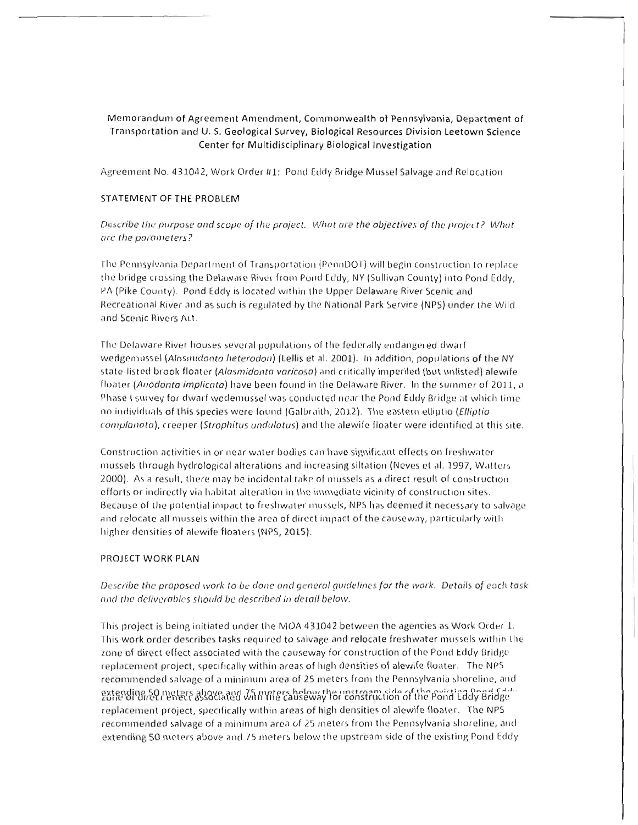## Memorandum of Agreement Amendment, Commonwealth of Pennsylvania, Department of Transportation and U.S. Geological Survey, Biological Resources Division Leetown Science Center for Multidisciplinary Biological Investigation

Agreement No. 431042, Work Order #1: Pond Eddy Bridge Mussel Salvage and Relocation

#### STATEMENT OF THE PROBLEM

Describe the purpose and scope of the project. What are the objectives of the project? What are the parameters?

The Pennsylvania Department of Transportation (PennDOT) will begin construction to replace the bridge crossing the Delaware River from Pond Eddy, NY (Sullivan County) into Pond Eddy, PA (Pike County). Pond Eddy is located within the Upper Delaware River Scenic and Recreational River and as such is regulated by the National Park Service (NPS) under the Wild and Scenic Rivers Act.

The Delaware River houses several populations of the federally endangered dwarf wedgemussel (Alasmidonta heterodon) (Lellis et al. 2001). In addition, populations of the NY state-listed brook floater (Alasmidonta varicosa) and critically imperiled (but unlisted) alewife floater (Anodonta implicata) have been found in the Delaware River. In the summer of 2011, a Phase I survey for dwarf wedemussel was conducted near the Pond Eddy Bridge at which time no individuals of this species were found (Galbraith, 2012). The eastern elliptio (Elliptio complanata), creeper (Strophitus undulatus) and the alewife floater were identified at this site.

Construction activities in or near water bodies can have significant effects on freshwater mussels through hydrological alterations and increasing siltation (Neves et al. 1997, Watters 2000). As a result, there may be incidental take of mussels as a direct result of construction efforts or indirectly via habitat alteration in the immediate vicinity of construction sites. Because of the potential impact to freshwater mussels, NPS has deemed it necessary to salvage and relocate all mussels within the area of direct impact of the causeway, particularly with higher densities of alewife floaters (NPS, 2015).

#### PROJECT WORK PLAN

## Describe the proposed work to be done and general quidelines for the work. Details of each task and the deliverables should be described in detail below.

This project is being initiated under the MOA 431042 between the agencies as Work Order 1. This work order describes tasks required to salvage and relocate freshwater mussels within the zone of direct effect associated with the causeway for construction of the Pond Eddy Bridge replacement project, specifically within areas of high densities of alewife floater. The NPS recommended salvage of a minimum area of 25 meters from the Pennsylvania shoreline, and gatending 50 meters also enable with the cause way for construction of the point Eddy Bridge replacement project, specifically within areas of high densities of alewife floater. The NPS recommended salvage of a minimum area of 25 meters from the Pennsylvania shoreline, and extending 50 meters above and 75 meters below the upstream side of the existing Pond Eddy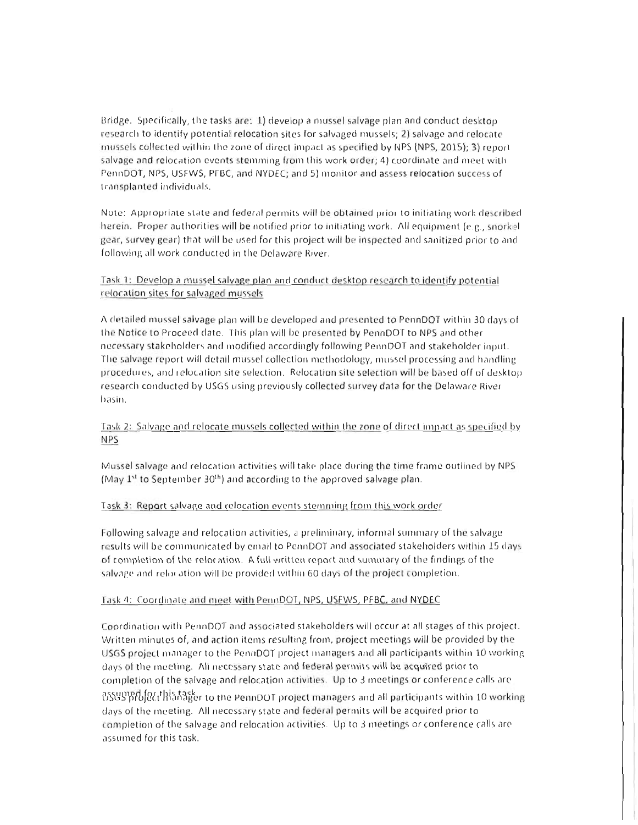Bridge. Specifically, the tasks are: 1) develop a mussel salvage plan and conduct desktop research to identify potential relocation sites for salvaged mussels; 2) salvage and relocate mussels collected within the zone of direct impact as specified by NPS (NPS, 2015); 3) report salvage and relocation events stemming from this work order; 4) coordinate and meet with PennDOT, NPS, USFWS, PFBC, and NYDEC; and 5) monitor and assess relocation success of transplanted individuals.

Note: Appropriate state and federal permits will be obtained prior to initiating work described herein. Proper authorities will be notified prior to initiating work. All equipment (e.g., snorkel gear, survey gear) that will be used for this project will be inspected and sanitized prior to and following all work conducted in the Delaware River.

## Task 1: Develop a mussel salvage plan and conduct desktop research to identify potential relocation sites for salvaged mussels

A detailed mussel salvage plan will be developed and presented to PennDOT within 30 days of the Notice to Proceed date. This plan will be presented by PennDOT to NPS and other necessary stakeholders and modified accordingly following PennDOT and stakeholder input. The salvage report will detail mussel collection methodology, mussel processing and handling procedures, and relocation site selection. Relocation site selection will be based off of desktop. research conducted by USGS using previously collected survey data for the Delaware River basin.

## Task 2: Salvage and relocate mussels collected within the zone of direct impact as specified by **NPS**

Mussel salvage and relocation activities will take place during the time frame outlined by NPS (May 1<sup>st</sup> to September 30<sup>th</sup>) and according to the approved salvage plan.

## Task 3: Report salvage and relocation events stemming from this work order

Following salvage and relocation activities, a preliminary, informal summary of the salvage results will be communicated by email to PennDOT and associated stakeholders within 15 days of completion of the relocation. A full written report and summary of the findings of the salvage and relocation will be provided within 60 days of the project completion.

#### Task 4: Coordinate and meet with PennDOT, NPS, USEWS, PFBC, and NYDEC

Coordination with PennDOT and associated stakeholders will occur at all stages of this project. Written minutes of, and action items resulting from, project meetings will be provided by the USGS project manager to the PennDOT project managers and all participants within 10 working days of the meeting. All necessary state and federal permits will be acquired prior to completion of the salvage and relocation activities. Up to 3 meetings or conference calls are OSSUPPH for this hasker to the PennDOT project managers and all participants within 10 working days of the meeting. All necessary state and federal permits will be acquired prior to completion of the salvage and relocation activities. Up to 3 meetings or conference calls are assumed for this task.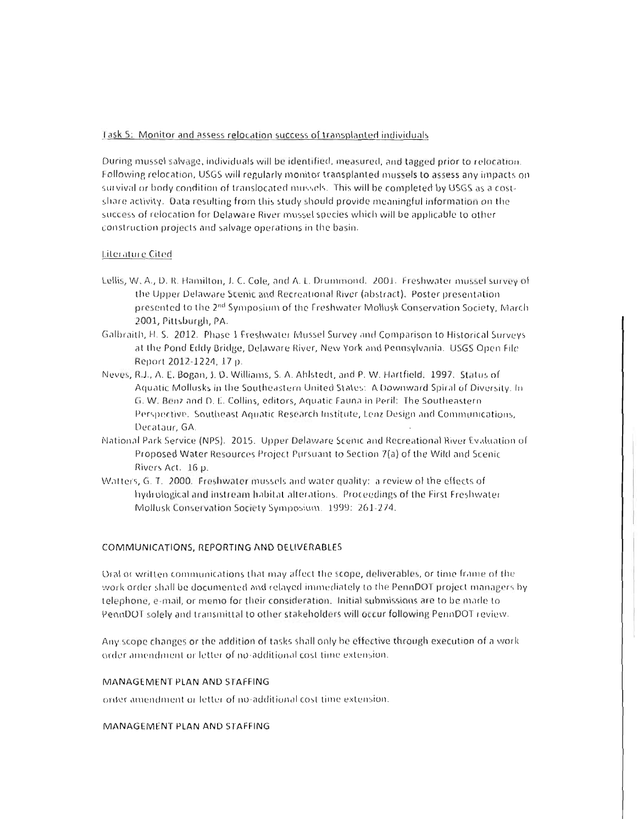#### Task 5: Monitor and assess relocation success of transplanted individuals

During mussel salvage, individuals will be identified, measured, and tagged prior to relocation. Following relocation, USGS will regularly monitor transplanted mussels to assess any impacts on survival or body condition of translocated mussels. This will be completed by USGS as a costshare activity. Data resulting from this study should provide meaningful information on the success of relocation for Delaware River mussel species which will be applicable to other construction projects and salvage operations in the basin.

#### Literature Cited

- Lellis, W. A., D. R. Hamilton, J. C. Cole, and A. L. Drummond. 2001. Freshwater mussel survey of the Upper Delaware Scenic and Recreational River (abstract). Poster presentation presented to the 2<sup>nd</sup> Symposium of the Freshwater Mollusk Conservation Society, March 2001, Pittsburgh, PA.
- Galbraith, H. S. 2012. Phase 1 Freshwater Mussel Survey and Comparison to Historical Surveys at the Pond Eddy Bridge, Delaware River, New York and Pennsylvania. USGS Open File Report 2012-1224, 17 p.
- Neves, R.J., A. E. Bogan, J. D. Williams, S. A. Ahlstedt, and P. W. Hartfield. 1997. Status of Aquatic Mollusks in the Southeastern United States: A Downward Spiral of Diversity. In G. W. Benz and D. E. Collins, editors, Aquatic Fauna in Peril: The Southeastern Perspective. Southeast Aquatic Research Institute, Lenz Design and Communications. Decataur, GA.
- National Park Service (NPS). 2015. Upper Delaware Scenic and Recreational River Evaluation of Proposed Water Resources Project Pursuant to Section 7(a) of the Wild and Scenic Rivers Act. 16 p.
- Watters, G. T. 2000. Freshwater mussels and water quality: a review of the effects of hydrological and instream habitat alterations. Proceedings of the First Freshwater Mollusk Conservation Society Symposium. 1999: 261-274.

#### COMMUNICATIONS, REPORTING AND DELIVERABLES

Oral or written communications that may affect the scope, deliverables, or time frame of the work order shall be documented and relayed immediately to the PennDOT project managers by telephone, e-mail, or memo for their consideration. Initial submissions are to be made to PennDOT sofely and transmittal to other stakeholders will occur following PennDOT review.

Any scope changes or the addition of tasks shall only be effective through execution of a work order amendment or letter of no-additional cost time extension.

#### MANAGEMENT PLAN AND STAFFING

order amendment or letter of no-additional cost time extension.

#### MANAGEMENT PLAN AND STAFFING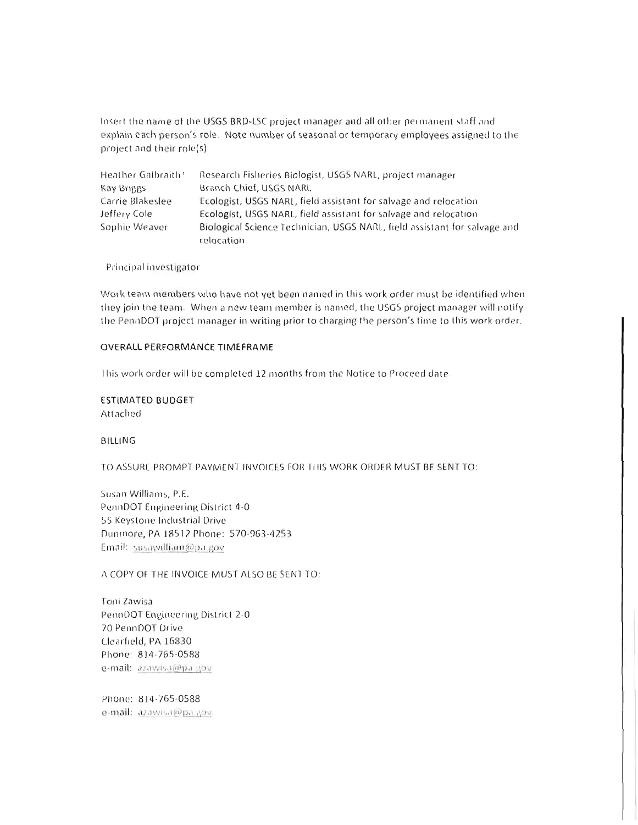Insert the name of the USGS BRD-LSC project manager and all other permanent staff and explain each person's role. Note number of seasonal or temporary employees assigned to the project and their role(s).

| Heather Galbraith* | Research Fisheries Biologist, USGS NARL, project manager                  |
|--------------------|---------------------------------------------------------------------------|
| Kay Briggs         | Branch Chief, USGS NARI,                                                  |
| Carrie Blakeslee   | Ecologist, USGS NARL, field assistant for salvage and relocation          |
| Jeffery Cole       | Ecologist, USGS NARL, field assistant for salvage and relocation          |
| Sophie Weaver      | Biological Science Technician, USGS NARL, field assistant for salvage and |
|                    | relocation                                                                |

Principal investigator

Work team members who have not yet been named in this work order must be identified when they join the team. When a new team member is named, the USGS project manager will notify the PennDOT project manager in writing prior to charging the person's time to this work order.

#### **OVERALL PERFORMANCE TIMEFRAME**

This work order will be completed 12 months from the Notice to Proceed date.

**ESTIMATED BUDGET** Attached

#### **BILLING**

TO ASSURE PROMPT PAYMENT INVOICES FOR THIS WORK ORDER MUST BE SENT TO:

Susan Williams, P.E. PennDOT Engineering District 4-0 55 Keystone Industrial Drive Dunmore, PA 18512 Phone: 570-963-4253 Email: susawilliam@pa.gov

A COPY OF THE INVOICE MUST ALSO BE SENT TO:

Toni Zawisa PennDOT Engineering District 2-0 70 PennDOT Drive Clearfield, PA 16830 Phone: 814-765-0588 e-mail: azawisa@pa.gov

Phone: 814-765-0588 e-mail: azawisa@pa.gov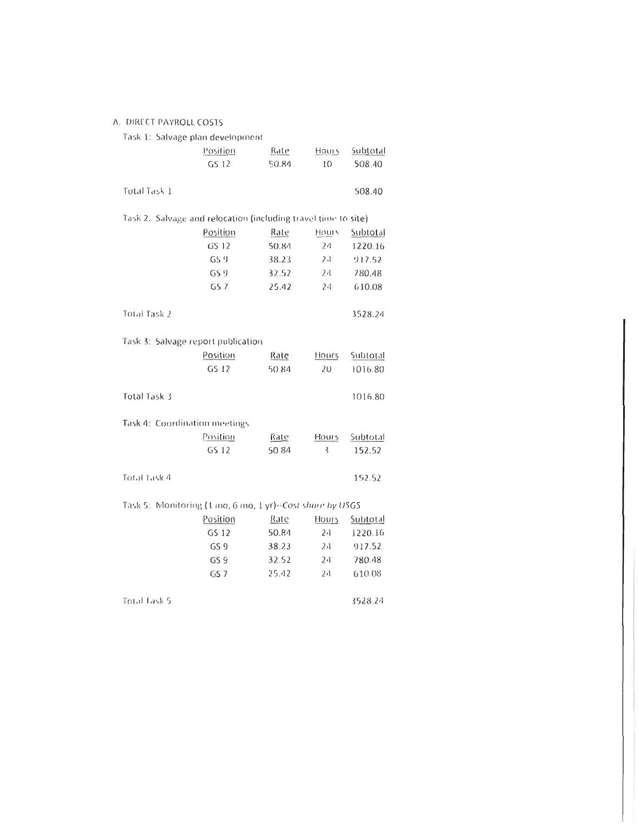#### A. DIRECT PAYROLL COSTS

| Task 1: Salvage plan development                               |                 |       |                |          |
|----------------------------------------------------------------|-----------------|-------|----------------|----------|
|                                                                | Position        | Rate  | Hours          | Subtotal |
|                                                                | GS 12           | 50.84 | 10             | 508.40   |
|                                                                |                 |       |                |          |
| Total Task 1                                                   |                 |       |                | 508.40   |
|                                                                |                 |       |                |          |
| Task 2. Salvage and relocation (including travel time to site) |                 |       |                |          |
|                                                                | Position        | Rate  | Hours          | Subtotal |
|                                                                | GS 12           | 50.84 | 24             | 1220.16  |
|                                                                | GS <sub>9</sub> | 38.23 | 24             | 917.52   |
|                                                                | GS9             | 32.52 | 24             | 780.48   |
|                                                                | GS <sub>7</sub> | 25.42 | 24             | 610.08   |
|                                                                |                 |       |                |          |
| Total Task 2                                                   |                 |       |                | 3528.24  |
|                                                                |                 |       |                |          |
| Task 3: Salvage report publication                             |                 |       |                |          |
|                                                                | Position        | Rate  | Hours          | Subtotal |
|                                                                | GS 12           | 50.84 | 20             | 1016.80  |
|                                                                |                 |       |                |          |
| <b>Total Task 3</b>                                            |                 |       |                | 1016.80  |
|                                                                |                 |       |                |          |
| Task 4: Coordination meetings                                  |                 |       |                |          |
|                                                                | Position        | Rate  | Hours          | Subtotal |
|                                                                | GS 12           | 50.84 | ξ              | 152.52   |
|                                                                |                 |       |                |          |
| Total Task 4                                                   |                 |       |                | 152.52   |
|                                                                |                 |       |                |          |
| Task 5: Monitoring (1 mo, 6 mo, 1 yr) - Cast share by USGS     |                 |       |                |          |
|                                                                | Position        | Rate  | Hours          | Subtotal |
|                                                                | GS 12           | 50.84 | 24             | 1220.16  |
|                                                                | GS 9            | 38.23 | 24             | 917.52   |
|                                                                | GS 9            | 32.52 | 2 <sub>1</sub> | 780.48   |
|                                                                | GS <sub>7</sub> | 25.42 | 24             | 610.08   |
|                                                                |                 |       |                |          |
| Total Task 5                                                   |                 |       |                | 3528.24  |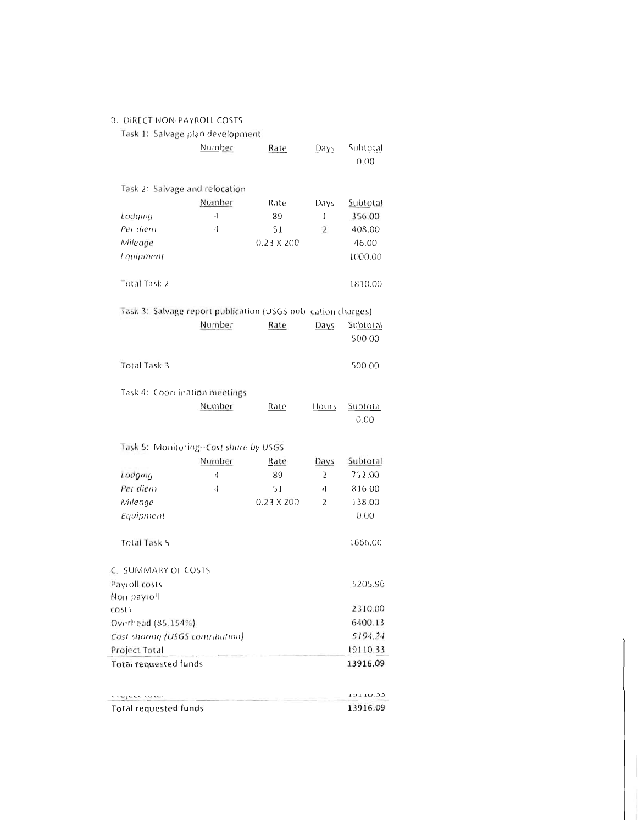|  |  | B. DIRECT NON-PAYROLL COSTS |  |  |
|--|--|-----------------------------|--|--|
|--|--|-----------------------------|--|--|

| Task 1: Salvage plan development                              |        |                   |                         |                           |
|---------------------------------------------------------------|--------|-------------------|-------------------------|---------------------------|
|                                                               | Number | Rate              | Days                    | <u>Subtotal</u><br>0.00   |
| Task 2: Salvage and relocation                                |        |                   |                         |                           |
|                                                               | Number | Rate              | <u>Daγs</u>             | Subtotal                  |
| Lodging                                                       | 4      | 89                | 1                       | 356.00                    |
| Per diem                                                      | 4      | 51                | 2                       | 408.00                    |
| Mileage                                                       |        | $0.23 \times 200$ |                         | 46.00                     |
| <i>l</i> -quipment                                            |        |                   |                         | 1000.00                   |
| Total Task 2                                                  |        |                   |                         | 1810.00                   |
| Task 3: Salvage report publication (USGS publication charges) |        |                   |                         |                           |
|                                                               | Number | Rate              | Days                    | <b>Subtotal</b><br>500.00 |
| <b>Total Task 3</b>                                           |        |                   |                         | 500.00                    |
| Task 4: Coordination meetings                                 |        |                   |                         |                           |
|                                                               | Number | Rate              | Hours                   | Subtotal<br>0.00          |
| Task 5: Monitoring--Cost share by USGS                        |        |                   |                         |                           |
|                                                               | Number | Rate              | Days                    | Subtotal                  |
| Lodging                                                       | 4      | 89                | $\overline{\mathbf{2}}$ | 712.00                    |
| Per diem                                                      | 4      | 51                | 4                       | 81600                     |
| Mileage                                                       |        | $0.23 \times 200$ | 2                       | 138.00                    |
| Equipment                                                     |        |                   |                         | 0.00                      |
| <b>Total Task 5</b>                                           |        |                   |                         | 1666.00                   |
| C. SUMMARY OF COSTS                                           |        |                   |                         |                           |
| Payroll costs                                                 |        |                   |                         | 5205.96                   |
| Non-payroll                                                   |        |                   |                         |                           |
| COS15                                                         |        |                   |                         | 2310.00                   |
| Overhead (85.154%)                                            |        |                   |                         | 6400.13                   |
| Cost sharing (USGS contribution)                              |        |                   |                         | 5194.24                   |
| Project Total                                                 |        |                   |                         | 19110.33                  |
| <b>Total requested funds</b>                                  |        |                   |                         | 13916.09                  |
| where invest                                                  |        |                   |                         | ככיחדדה                   |
| Total requested funds                                         |        |                   |                         | 13916.09                  |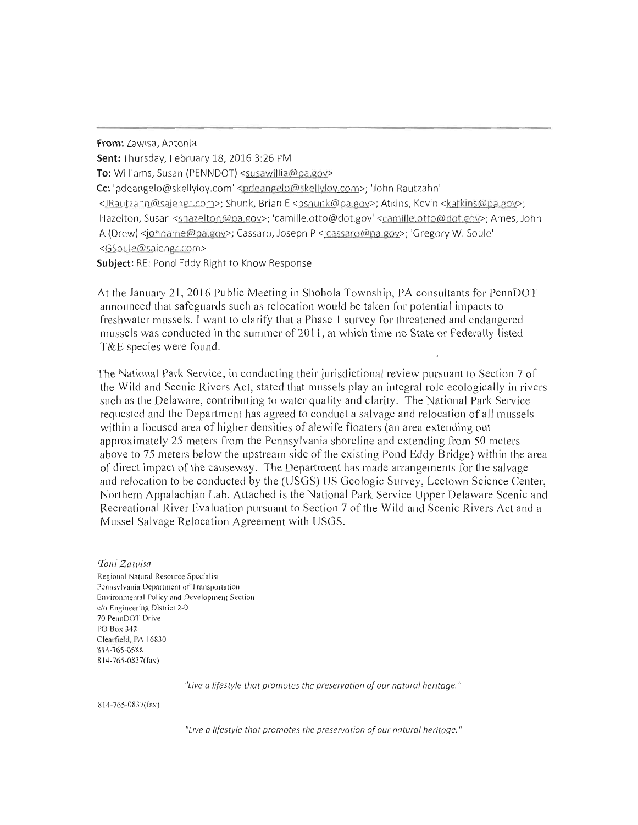From: Zawisa, Antonia

Sent: Thursday, February 18, 2016 3:26 PM

To: Williams, Susan (PENNDOT) <susawillia@pa.gov>

Cc: 'pdeangelo@skellyloy.com' <pdeangelo@skellyloy.com>; 'John Rautzahn'

<JRautzahn@saiengr.com>; Shunk, Brian E <br/> <br/>Shunk@pa.gov>; Atkins, Kevin <katkins@pa.gov>; Hazelton, Susan <shazelton@pa.gov>; 'camille.otto@dot.gov' <camille.otto@dot.gov>; Ames, John A (Drew) <johname@pa.gov>; Cassaro, Joseph P <jcassaro@pa.gov>; 'Gregory W. Soule' <GSoule@saiengr.com>

Subject: RE: Pond Eddy Right to Know Response

At the January 21, 2016 Public Meeting in Shohola Township, PA consultants for PennDOT announced that safeguards such as relocation would be taken for potential impacts to freshwater mussels. I want to clarify that a Phase 1 survey for threatened and endangered mussels was conducted in the summer of 2011, at which time no State or Federally listed T&E species were found.

The National Park Service, in conducting their jurisdictional review pursuant to Section 7 of the Wild and Scenic Rivers Act, stated that mussels play an integral role ecologically in rivers such as the Delaware, contributing to water quality and clarity. The National Park Service requested and the Department has agreed to conduct a salvage and relocation of all mussels within a focused area of higher densities of alewife floaters (an area extending out approximately 25 meters from the Pennsylvania shoreline and extending from 50 meters above to 75 meters below the upstream side of the existing Pond Eddy Bridge) within the area of direct impact of the causeway. The Department has made arrangements for the salvage and relocation to be conducted by the (USGS) US Geologic Survey, Leetown Science Center, Northern Appalachian Lab. Attached is the National Park Service Upper Delaware Scenic and Recreational River Evaluation pursuant to Section 7 of the Wild and Scenic Rivers Act and a Mussel Salvage Relocation Agreement with USGS.

Toni Zawisa Regional Natural Resource Specialist Pennsylvania Department of Transportation Environmental Policy and Development Section c/o Engineering District 2-0 70 PennDOT Drive **PO Box 342** Clearfield, PA 16830 814-765-0588 814-765-0837(fax)

"Live a lifestyle that promotes the preservation of our natural heritage."

814-765-0837(fax)

"Live a lifestyle that promotes the preservation of our natural heritage."